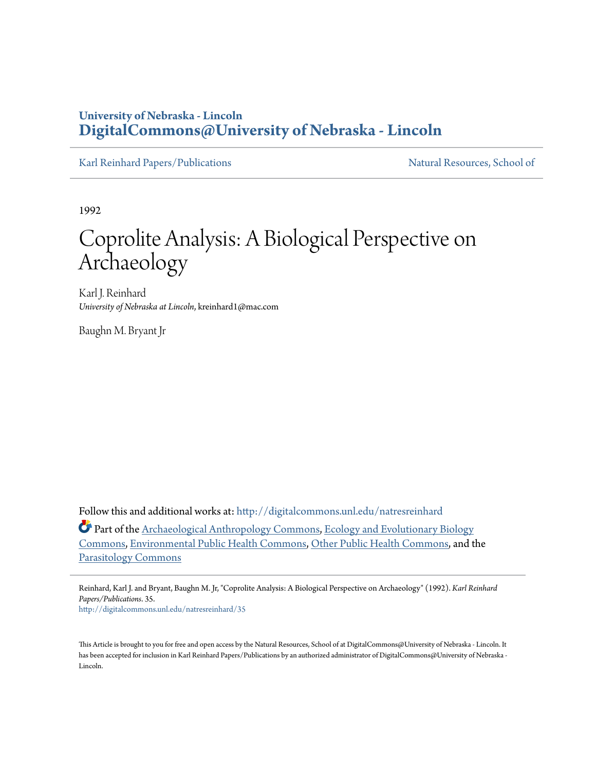# **University of Nebraska - Lincoln [DigitalCommons@University of Nebraska - Lincoln](http://digitalcommons.unl.edu?utm_source=digitalcommons.unl.edu%2Fnatresreinhard%2F35&utm_medium=PDF&utm_campaign=PDFCoverPages)**

[Karl Reinhard Papers/Publications](http://digitalcommons.unl.edu/natresreinhard?utm_source=digitalcommons.unl.edu%2Fnatresreinhard%2F35&utm_medium=PDF&utm_campaign=PDFCoverPages) [Natural Resources, School of](http://digitalcommons.unl.edu/natres?utm_source=digitalcommons.unl.edu%2Fnatresreinhard%2F35&utm_medium=PDF&utm_campaign=PDFCoverPages)

1992

# Coprolite Analysis: A Biological Perspective on Archaeology

Karl J. Reinhard *University of Nebraska at Lincoln*, kreinhard1@mac.com

Baughn M. Bryant Jr

Follow this and additional works at: [http://digitalcommons.unl.edu/natresreinhard](http://digitalcommons.unl.edu/natresreinhard?utm_source=digitalcommons.unl.edu%2Fnatresreinhard%2F35&utm_medium=PDF&utm_campaign=PDFCoverPages)

Part of the [Archaeological Anthropology Commons,](http://network.bepress.com/hgg/discipline/319?utm_source=digitalcommons.unl.edu%2Fnatresreinhard%2F35&utm_medium=PDF&utm_campaign=PDFCoverPages) [Ecology and Evolutionary Biology](http://network.bepress.com/hgg/discipline/14?utm_source=digitalcommons.unl.edu%2Fnatresreinhard%2F35&utm_medium=PDF&utm_campaign=PDFCoverPages) [Commons,](http://network.bepress.com/hgg/discipline/14?utm_source=digitalcommons.unl.edu%2Fnatresreinhard%2F35&utm_medium=PDF&utm_campaign=PDFCoverPages) [Environmental Public Health Commons,](http://network.bepress.com/hgg/discipline/739?utm_source=digitalcommons.unl.edu%2Fnatresreinhard%2F35&utm_medium=PDF&utm_campaign=PDFCoverPages) [Other Public Health Commons,](http://network.bepress.com/hgg/discipline/748?utm_source=digitalcommons.unl.edu%2Fnatresreinhard%2F35&utm_medium=PDF&utm_campaign=PDFCoverPages) and the [Parasitology Commons](http://network.bepress.com/hgg/discipline/39?utm_source=digitalcommons.unl.edu%2Fnatresreinhard%2F35&utm_medium=PDF&utm_campaign=PDFCoverPages)

Reinhard, Karl J. and Bryant, Baughn M. Jr, "Coprolite Analysis: A Biological Perspective on Archaeology" (1992). *Karl Reinhard Papers/Publications*. 35.

[http://digitalcommons.unl.edu/natresreinhard/35](http://digitalcommons.unl.edu/natresreinhard/35?utm_source=digitalcommons.unl.edu%2Fnatresreinhard%2F35&utm_medium=PDF&utm_campaign=PDFCoverPages)

This Article is brought to you for free and open access by the Natural Resources, School of at DigitalCommons@University of Nebraska - Lincoln. It has been accepted for inclusion in Karl Reinhard Papers/Publications by an authorized administrator of DigitalCommons@University of Nebraska -Lincoln.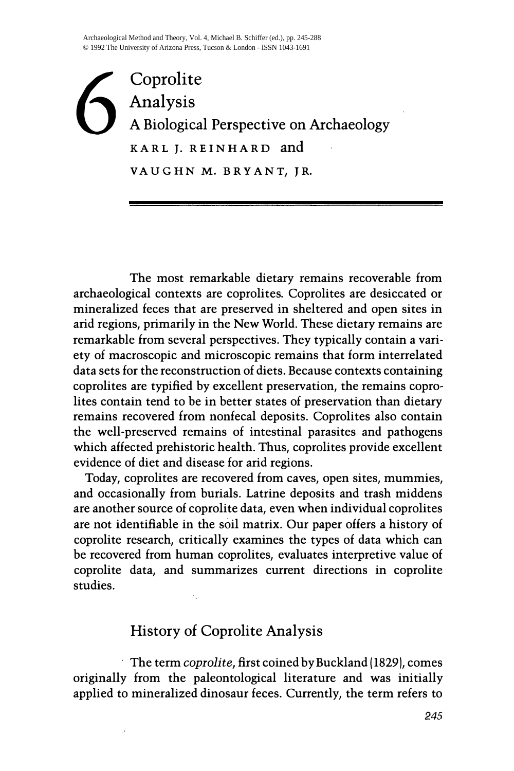Coprolite<br>
A Biological Analysis A Biological Perspective on Archaeology KARL J. REINHARD and VAUGHN M. BRYANT, JR.

The most remarkable dietary remains recoverable from archaeological contexts are coprolites. Coprolites are desiccated or mineralized feces that are preserved in sheltered and open sites in arid regions, primarily in the New World. These dietary remains are remarkable from several perspectives. They typically contain a variety of macroscopic and microscopic remains that form interrelated data sets for the reconstruction of diets. Because contexts containing coprolites are typified by excellent preservation, the remains coprolites contain tend to be in better states of preservation than dietary remains recovered from nonfecal deposits. Coprolites also contain the well-preserved remains of intestinal parasites and pathogens which affected prehistoric health. Thus, coprolites provide excellent evidence of diet and disease for arid regions.

Today, coprolites are recovered from caves, open sites, mummies, and occasionally from burials. Latrine deposits and trash middens are another source of coprolite data, even when individual coprolites are not identifiable in the soil matrix. Our paper offers a history of coprolite research, critically examines the types of data which can be recovered from human coprolites, evaluates interpretive value of coprolite data, and summarizes current directions in coprolite studies.

# History of Coprolite Analysis

The term coprolite, first coined by Buckland (1829), comes originally from the paleontological literature and was initially applied to mineralized dinosaur feces. Currently, the term refers to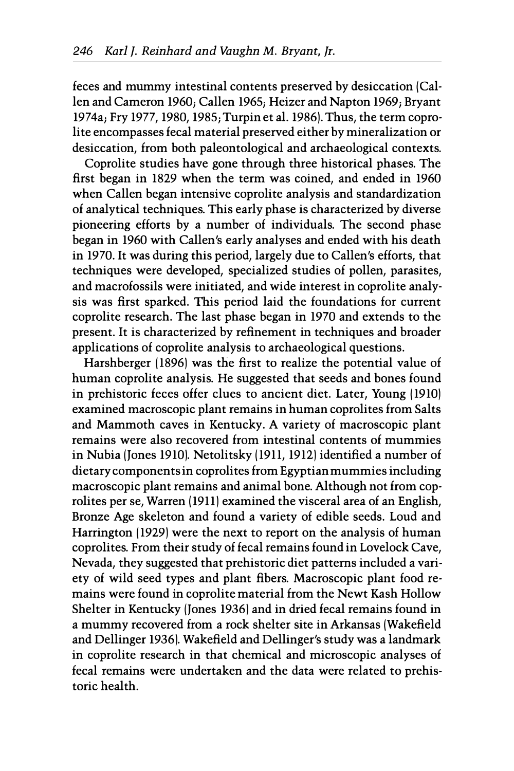feces and mummy intestinal contents preserved by desiccation (Callen and Cameron 1960; Callen 1965; Heizer and Napton 1969; Bryant 1974aj Fry 1977, 1980, 1985; Turpin et al. 1986). Thus, the term coprolite encompasses fecal material preserved either by mineralization or desiccation, from both paleontological and archaeological contexts.

Coprolite studies have gone through three historical phases. The first began in 1829 when the term was coined, and ended in 1960 when Callen began intensive coprolite analysis and standardization of analytical techniques. This early phase is characterized by diverse pioneering efforts by a number of individuals. The second phase began in 1960 with Callen's early analyses and ended with his death in 1970. It was during this period, largely due to Callen's efforts, that techniques were developed, specialized studies of pollen, parasites, and macrofossils were initiated, and wide interest in coprolite analysis was first sparked. This period laid the foundations for current coprolite research. The last phase began in 1970 and extends to the present. It is characterized by refinement in techniques and broader applications of coprolite analysis to archaeological questions.

Harshberger (1896) was the first to realize the potential value of human coprolite analysis. He suggested that seeds and bones found in prehistoric feces offer clues to ancient diet. Later, Young (1910) examined macroscopic plant remains in human coprolites from Salts and Mammoth caves in Kentucky. A variety of macroscopic plant remains were also recovered from intestinal contents of mummies in Nubia (Jones 1910). Netolitsky (1911, 1912) identified a number of dietary components in coprolites from Egyptian mummies including macroscopic plant remains and animal bone. Although not from coprolites per se, Warren (1911) examined the visceral area of an English, Bronze Age skeleton and found a variety of edible seeds. Loud and Harrington (1929) were the next to report on the analysis of human coprolites. From their study of fecal remains found in Lovelock Cave, Nevada, they suggested that prehistoric diet patterns included a variety of wild seed types and plant fibers. Macroscopic plant food remains were found in coprolite material from the Newt Kash Hollow Shelter in Kentucky (Jones 1936) and in dried fecal remains found in a mummy recovered from a rock shelter site in Arkansas (Wakefield and Dellinger 1936). Wakefield and Dellinger's study was a landmark in coprolite research in that chemical and microscopic analyses of fecal remains were undertaken and the data were related to prehistoric health.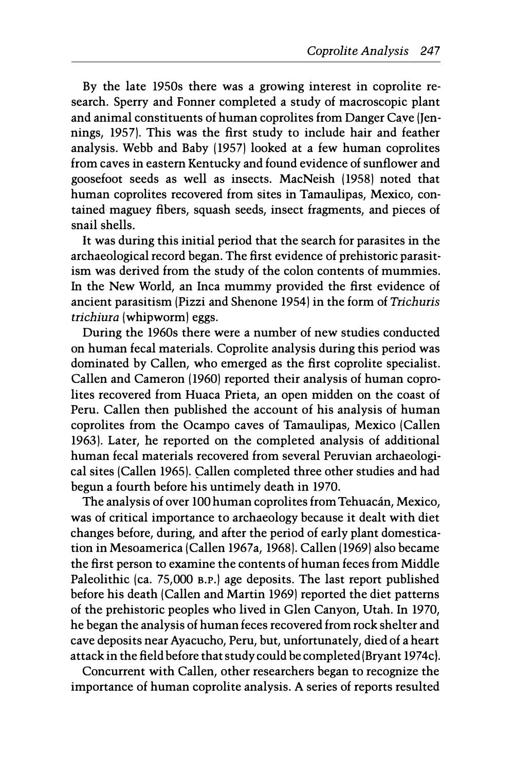By the late 1950s there was a growing interest in coprolite research. Sperry and Fonner completed a study of macroscopic plant and animal constituents of human coprolites from Danger Cave (Jennings, 1957). This was the first study to include hair and feather analysis. Webb and Baby (1957) looked at a few human coprolites from caves in eastern Kentucky and found evidence of sunflower and goosefoot seeds as well as insects. MacNeish (1958) noted that human coprolites recovered from sites in Tamaulipas, Mexico, contained maguey fibers, squash seeds, insect fragments, and pieces of snail shells.

It was during this initial period that the search for parasites in the archaeological record began. The first evidence of prehistoric parasitism was derived from the study of the colon contents of mummies. In the New World, an Inca mummy provided the first evidence of ancient parasitism (Pizzi and Shenone 1954) in the form of Trichuris trichiura (whipworm) eggs.

During the 1960s there were a number of new studies conducted on human fecal materials. Coprolite analysis during this period was dominated by Callen, who emerged as the first coprolite specialist. Callen and Cameron (1960) reported their analysis of human coprolites recovered from Huaca Prieta, an open midden on the coast of Peru. Callen then published the account of his analysis of human coprolites from the Ocampo caves of Tamaulipas, Mexico (Callen 1963). Later, he reported on the completed analysis of additional human fecal materials recovered from several Peruvian archaeological sites (Callen 1965). Callen completed three other studies and had begun a fourth before his untimely death in 1970.

The analysis of over 100 human coprolites from Tehuacán, Mexico, was of critical importance to archaeology because it dealt with diet changes before, during, and after the period of early plant domestication in Mesoamerica (Callen 1967a, 1968). Callen (1969) also became the first person to examine the contents of human feces from Middle Paleolithic (ca. 75,000 B.P.) age deposits. The last report published before his death (Callen and Martin 1969) reported the diet patterns of the prehistoric peoples who lived in Glen Canyon, Utah. In 1970, he began the analysis of human feces recovered from rock shelter and cave deposits near Ayacucho, Peru, but, unfortunately, died of a heart attack in the field before that study could be completed (Bryant 1974c).

Concurrent with Callen, other researchers began to recognize the importance of human coprolite analysis. A series of reports resulted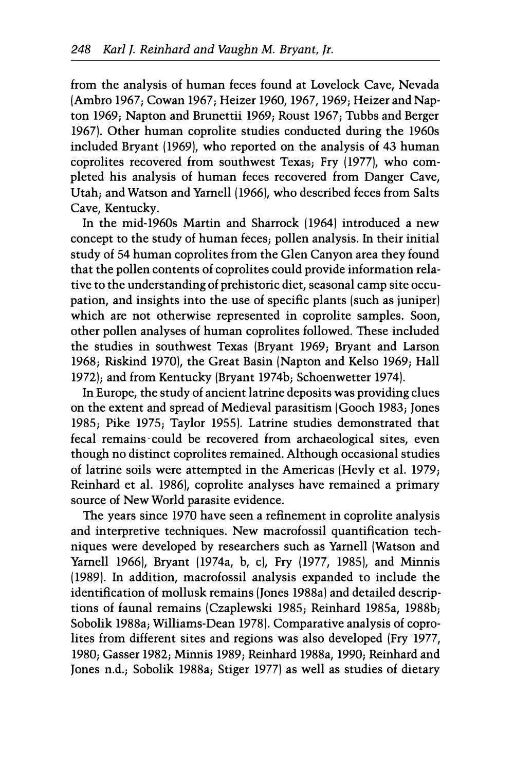from the analysis of human feces found at Lovelock Cave, Nevada (Ambro 1967; Cowan 1967; Heizer 1960, 1967, 1969; Heizer and Napton 1969; Napton and Brunettii 1969; Roust 1967; Tubbs and Berger 1967). Other human coprolite studies conducted during the 1960s included Bryant (1969), who reported on the analysis of 43 human coprolites recovered from southwest Texas; Fry (1977), who completed his analysis of human feces recovered from Danger Cave, Utah; and Watson and Yarnell (1966), who described feces from Salts Cave, Kentucky.

In the mid-1960s Martin and Sharrock (1964) introduced a new concept to the study of human feces; pollen analysis. In their initial study of 54 human coprolites from the Glen Canyon area they found that the pollen contents of coprolites could provide information relative to the understanding of prehistoric diet, seasonal camp site occupation, and insights into the use of specific plants (such as juniper) which are not otherwise represented in coprolite samples. Soon, other pollen analyses of human coprolites followed. These included the studies in southwest Texas (Bryant 1969; Bryant and Larson 1968; Riskind 1970), the Great Basin (Napton and Kelso 1969; Hall 1972); and from Kentucky (Bryant 1974b; Schoenwetter 1974).

In Europe, the study of ancient latrine deposits was providing clues on the extent and spread of Medieval parasitism (Gooch 1983; Jones 1985; Pike 1975; Taylor 1955). Latrine studies demonstrated that fecal remains could be recovered from archaeological sites, even though no distinct coprolites remained. Although occasional studies of latrine soils were attempted in the Americas (Hevly et al. 1979; Reinhard et al. 1986), coprolite analyses have remained a primary source of New World parasite evidence.

The years since 1970 have seen a refinement in coprolite analysis and interpretive techniques. New macrofossil quantification techniques were developed by researchers such as Yarnell (Watson and Yarnell 1966), Bryant (1974a, b, c), Fry (1977, 1985), and Minnis (1989). In addition, macrofossil analysis expanded to include the identification of mollusk remains (Jones 1988a) and detailed descriptions of faunal remains (Czaplewski 1985; Reinhard 1985a, 1988b; Sobolik 1988a; Williams-Dean 1978). Comparative analysis of coprolites from different sites and regions was also developed (Fry 1977, 1980; Gasser 1982; Minnis 1989; Reinhard 1988a, 1990; Reinhard and Jones n.d.; Sobolik 1988a; Stiger 1977) as well as studies of dietary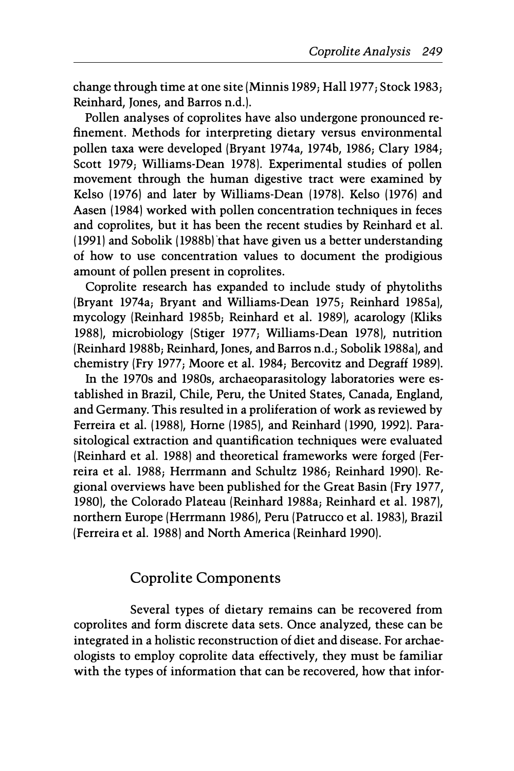change through time at one site [Minnis 1989; Hall 1977; Stock 1983; Reinhard, Jones, and Barros n.d.).

Pollen analyses of coprolites have also undergone pronounced refinement. Methods for interpreting dietary versus environmental pollen taxa were developed [Bryant 1974a, 1974b, 1986; Clary 1984; Scott 1979; Williams-Dean 1978). Experimental studies of pollen movement through the human digestive tract were examined by Kelso (1976) and later by Williams-Dean (1978). Kelso (1976) and Aasen (1984) worked with pollen concentration techniques in feces and coprolites, but it has been the recent studies by Reinhard et al.  $(1991)$  and Sobolik  $(1988b)$  that have given us a better understanding of how to use concentration values to document the prodigious amount of pollen present in coprolites.

Coprolite research has expanded to include study of phytoliths [Bryant 1974a; Bryant and Williams-Dean 1975; Reinhard 1985a), mycology [Reinhard 1985b; Reinhard et al. 1989), acarology [Kliks 1988), microbiology [Stiger 1977; Williams-Dean 1978), nutrition [Reinhard 1988b; Reinhard, Jones, and Barros n.d.; Sobolik 1988a), and chemistry [Fry 1977; Moore et al. 1984; Bercovitz and Degraff 1989).

In the 1970s and 1980s, archaeoparasitology laboratories were established in Brazil, Chile, Peru, the United States, Canada, England, and Germany. This resulted in a proliferation of work as reviewed by Ferreira et al. (1988), Horne (1985), and Reinhard [1990, 1992). Parasitological extraction and quantification techniques were evaluated [Reinhard et al. 1988) and theoretical frameworks were forged [Ferreira et al. 1988; Herrmann and Schultz 1986; Reinhard 1990). Regional overviews have been published for the Great Basin [Fry 1977, 1980), the Colorado Plateau [Reinhard 1988a; Reinhard et al. 1987), northern Europe [Herrmann 1986), Peru [Patrucco et al. 1983), Brazil [Ferreira et al. 1988) and North America [Reinhard 1990).

# Coprolite Components

Several types of dietary remains can be recovered from coprolites and form discrete data sets. Once analyzed, these can be integrated in a holistic reconstruction of diet and disease. For archaeologists to employ coprolite data effectively, they must be familiar with the types of information that can be recovered, how that infor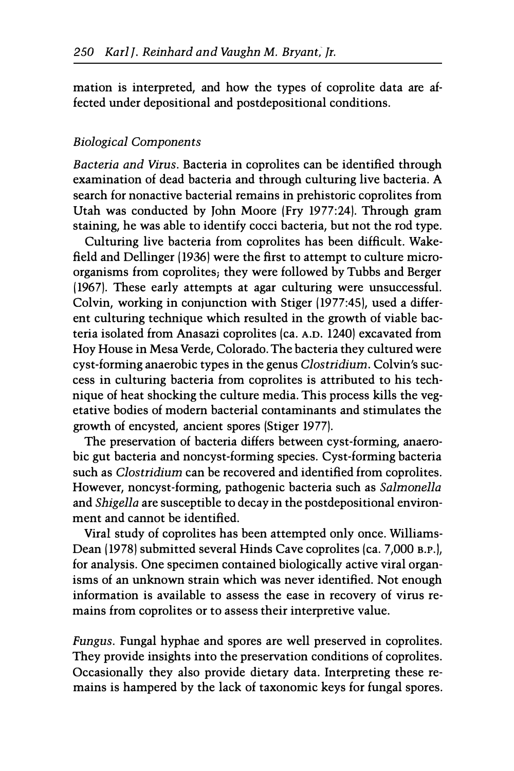mation is interpreted, and how the types of coprolite data are affected under depositional and postdepositional conditions.

### Biological Components

Bacteria and Virus. Bacteria in coprolites can be identified through examination of dead bacteria and through culturing live bacteria. A search for nonactive bacterial remains in prehistoric coprolites from Utah was conducted by John Moore IFry 1977:24). Through gram staining, he was able to identify cocci bacteria, but not the rod type.

Culturing live bacteria from coprolites has been difficult. Wakefield and Dellinger 11936) were the first to attempt to culture microorganisms from coprolites; they were followed by Tubbs and Berger 11967). These early attempts at agar culturing were unsuccessful. Colvin, working in conjunction with Stiger 11977:45), used a different culturing technique which resulted in the growth of viable bacteria isolated from Anasazi coprolites (ca. A.D. 1240) excavated from Hoy House in Mesa Verde, Colorado. The bacteria they cultured were cyst-forming anaerobic types in the genus Clostridium. Colvin's success in culturing bacteria from coprolites is attributed to his technique of heat shocking the culture media. This process kills the vegetative bodies of modern bacterial contaminants and stimulates the growth of encysted, ancient spores (Stiger 1977).

The preservation of bacteria differs between cyst-forming, anaerobic gut bacteria and noncyst-forming species. Cyst-forming bacteria such as Clostridium can be recovered and identified from coprolites. However, noncyst-forming, pathogenic bacteria such as Salmonella and Shigella are susceptible to decay in the postdepositional environment and cannot be identified.

Viral study of coprolites has been attempted only once. Williams-Dean (1978) submitted several Hinds Cave coprolites (ca. 7,000 B.P.), for analysis. One specimen contained biologically active viral organisms of an unknown strain which was never identified. Not enough information is available to assess the ease in recovery of virus remains from coprolites or to assess their interpretive value.

Fungus. Fungal hyphae and spores are well preserved in coprolites. They provide insights into the preservation conditions of coprolites. Occasionally they also provide dietary data. Interpreting these remains is hampered by the lack of taxonomic keys for fungal spores.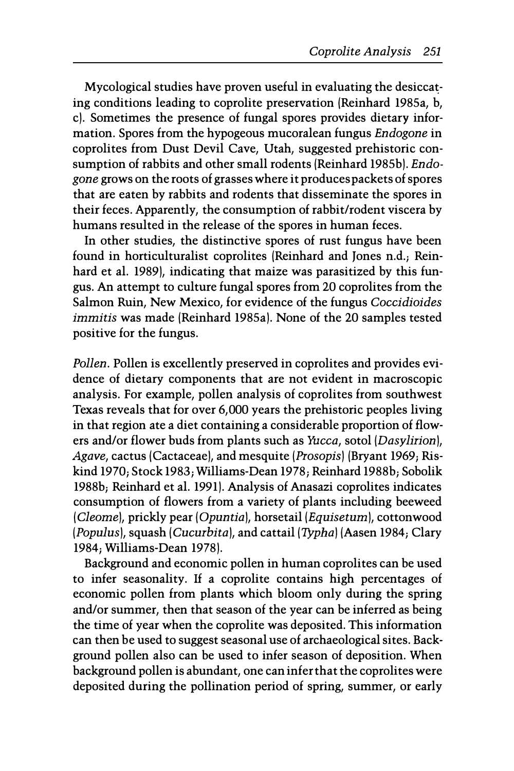Mycological studies have proven useful in evaluating the desiccating conditions leading to coprolite preservation /Reinhard 1985a, b, c). Sometimes the presence of fungal spores provides dietary information. Spores from the hypogeous mucoralean fungus Endogone in coprolites from Dust Devil Cave, Utah, suggested prehistoric consumption of rabbits and other small rodents (Reinhard 1985b). Endogone grows on the roots of grasses where it produces packets of spores that are eaten by rabbits and rodents that disseminate the spores in their feces. Apparently, the consumption of rabbit/rodent viscera by humans resulted in the release of the spores in human feces.

In other studies, the distinctive spores of rust fungus have been found in horticulturalist coprolites /Reinhard and Jones n.d.; Reinhard et al. 1989), indicating that maize was parasitized by this fungus. An attempt to culture fungal spores from 20 coprolites from the Salmon Ruin, New Mexico, for evidence of the fungus Coccidioides immitis was made (Reinhard 1985a). None of the 20 samples tested positive for the fungus.

Pollen. Pollen is excellently preserved in coprolites and provides evidence of dietary components that are not evident in macroscopic analysis. For example, pollen analysis of coprolites from southwest Texas reveals that for over 6,000 years the prehistoric peoples living in that region ate a diet containing a considerable proportion of flowers and/or flower buds from plants such as Yucca, sotol (Dasylirion), Agave, cactus (Cactaceae), and mesquite (Prosopis) (Bryant 1969; Riskind 1970; Stock 1983; Williams-Dean 1978; Reinhard 1988b; Sobolik 1988b; Reinhard et al. 1991). Analysis of Anasazi coprolites indicates consumption of flowers from a variety of plants including beeweed /Cleome), prickly pear /Opuntia), horsetail/Equisetum), cottonwood (Populus), squash (Cucurbita), and cattail (Typha) (Aasen 1984; Clary 1984; Williams-Dean 1978).

Background and economic pollen in human coprolites can be used to infer seasonality. If a coprolite contains high percentages of economic pollen from plants which bloom only during the spring and/or summer, then that season of the year can be inferred as being the time of year when the coprolite was deposited. This information can then be used to suggest seasonal use of archaeological sites. Background pollen also can be used to infer season of deposition. When background pollen is abundant, one can infer that the coprolites were deposited during the pollination period of spring, summer, or early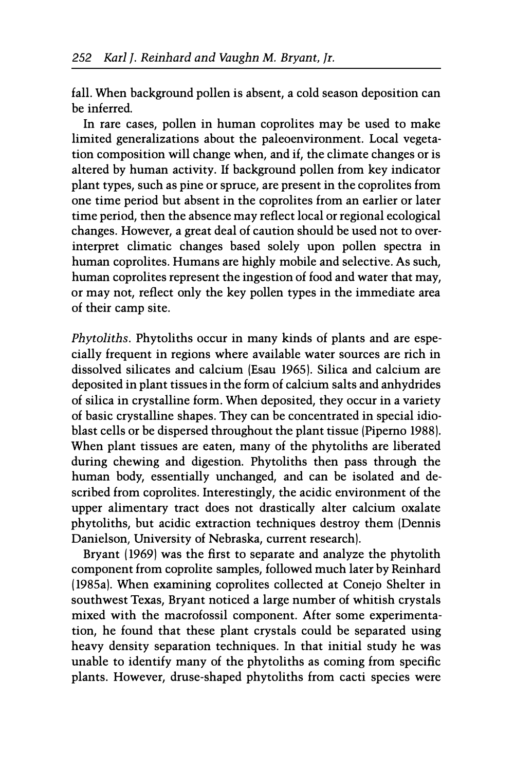fall. When background pollen is absent, a cold season deposition can be inferred.

In rare cases, pollen in human coprolites may be used to make limited generalizations about the paleoenvironment. Local vegetation composition will change when, and if, the climate changes or is altered by human activity. If background pollen from key indicator plant types, such as pine or spruce, are present in the coprolites from one time period but absent in the coprolites from an earlier or later time period, then the absence may reflect local or regional ecological changes. However, a great deal of caution should be used not to overinterpret climatic changes based solely upon pollen spectra in human coprolites. Humans are highly mobile and selective. As such, human coprolites represent the ingestion of food and water that may, or may not, reflect only the key pollen types in the immediate area of their camp site.

Phytoliths. Phytoliths occur in many kinds of plants and are especially frequent in regions where available water sources are rich in dissolved silicates and calcium (Esau 1965). Silica and calcium are deposited in plant tissues in the form of calcium salts and anhydrides of silica in crystalline form. When deposited, they occur in a variety of basic crystalline shapes. They can be concentrated in special idioblast cells or be dispersed throughout the plant tissue (Piperno 1988). When plant tissues are eaten, many of the phytoliths are liberated during chewing and digestion. Phytoliths then pass through the human body, essentially unchanged, and can be isolated and described from coprolites. Interestingly, the acidic environment of the upper alimentary tract does not drastically alter calcium oxalate phytoliths, but acidic extraction techniques destroy them (Dennis Danielson, University of Nebraska, current research).

Bryant (1969) was the first to separate and analyze the phytolith component from coprolite samples, followed much later by Reinhard (1985a). When examining coprolites collected at Conejo Shelter in southwest Texas, Bryant noticed a large number of whitish crystals mixed with the macrofossil component. After some experimentation, he found that these plant crystals could be separated using heavy density separation techniques. In that initial study he was unable to identify many of the phytoliths as coming from specific plants. However, druse-shaped phytoliths from cacti species were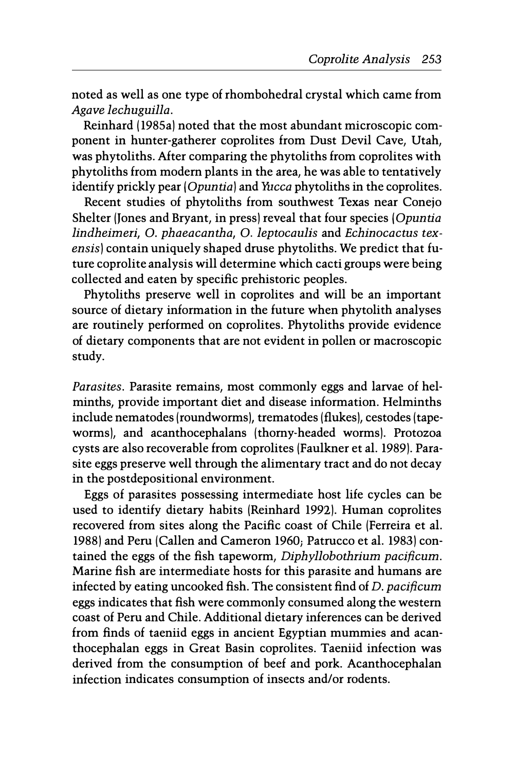noted as well as one type of rhombohedral crystal which came from Agave lechuguilla.

Reinhard (1985a) noted that the most abundant microscopic component in hunter-gatherer coprolites from Dust Devil Cave, Utah, was phytoliths. After comparing the phytoliths from coprolites with phytoliths from modern plants in the area, he was able to tentatively identify prickly pear (Opuntia) and Yucca phytoliths in the coprolites.

Recent studies of phytoliths from southwest Texas near Conejo Shelter (Jones and Bryant, in press) reveal that four species (Opuntia lindheimeri, O. phaeacantha, O. leptocaulis and Echinocactus texensis) contain uniquely shaped druse phytoliths. We predict that future coprolite analysis will determine which cacti groups were being collected and eaten by specific prehistoric peoples.

Phytoliths preserve well in coprolites and will be an important source of dietary information in the future when phytolith analyses are routinely performed on coprolites. Phytoliths provide evidence of dietary components that are not evident in pollen or macroscopic study.

Parasites. Parasite remains, most commonly eggs and larvae of helminths, provide important diet and disease information. Helminths include nematodes (roundworms), trematodes (flukes), cestodes (tapeworms), and acanthocephalans (thorny-headed worms). Protozoa cysts are also recoverable from coprolites (Faulkner et al. 1989). Parasite eggs preserve well through the alimentary tract and do not decay in the postdepositional environment.

Eggs of parasites possessing intermediate host life cycles can be used to identify dietary habits (Reinhard 1992). Human coprolites recovered from sites along the Pacific coast of Chile (Ferreira et al. 1988) and Peru (Callen and Cameron 1960; Patrucco et al. 1983) contained the eggs of the fish tapeworm, Diphyllobothrium pacificum. Marine fish are intermediate hosts for this parasite and humans are infected by eating uncooked fish. The consistent find of D. pacificum eggs indicates that fish were commonly consumed along the western coast of Peru and Chile. Additional dietary inferences can be derived from finds of taeniid eggs in ancient Egyptian mummies and acanthocephalan eggs in Great Basin coprolites. Taeniid infection was derived from the consumption of beef and pork. Acanthocephalan infection indicates consumption of insects and/or rodents.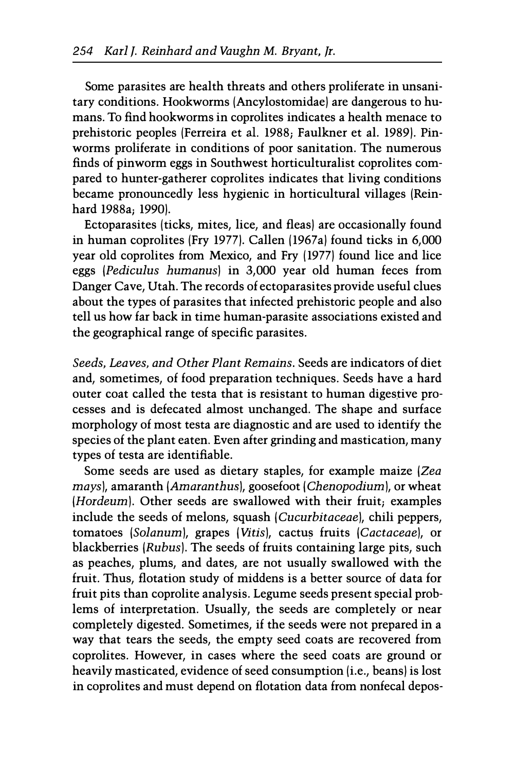Some parasites are health threats and others proliferate in unsanitary conditions. Hookworms (Ancylostomidae) are dangerous to humans. To find hookworms in coprolites indicates a health menace to prehistoric peoples (Ferreira et aI. 1988; Faulkner et al. 1989). Pinworms proliferate in conditions of poor sanitation. The numerous finds of pinworm eggs in Southwest horticulturalist coprolites compared to hunter-gatherer coprolites indicates that living conditions became pronouncedly less hygienic in horticultural villages (Reinhard 1988a; 1990).

Ectoparasites (ticks, mites, lice, and fleas) are occasionally found in human coprolites (Fry 1977). Callen 11967a) found ticks in 6,000 year old coprolites from Mexico, and Fry (1977) found lice and lice eggs (Pediculus humanus) in 3,000 year old human feces from Danger Cave, Utah. The records of ectoparasites provide useful clues about the types of parasites that infected prehistoric people and also tell us how far back in time human-parasite associations existed and the geographical range of specific parasites.

Seeds, Leaves, and Other Plant Remains. Seeds are indicators of diet and, sometimes, of food preparation techniques. Seeds have a hard outer coat called the testa that is resistant to human digestive processes and is defecated almost unchanged. The shape and surface morphology of most testa are diagnostic and are used to identify the species of the plant eaten. Even after grinding and mastication, many types of testa are identifiable.

Some seeds are used as dietary staples, for example maize (Zea mays), amaranth (Amaranthus), goosefoot (Chenopodium), or wheat (Hordeum). Other seeds are swallowed with their fruit; examples include the seeds of melons, squash (Cucurbitaceae), chili peppers, tomatoes (Solanum), grapes (Vitis), cactus fruits (Cactaceae), or blackberries (Rubus). The seeds of fruits containing large pits, such as peaches, plums, and dates, are not usually swallowed with the fruit. Thus, flotation study of middens is a better source of data for fruit pits than coprolite analysis. Legume seeds present special problems of interpretation. Usually, the seeds are completely or near completely digested. Sometimes, if the seeds were not prepared in a way that tears the seeds, the empty seed coats are recovered from coprolites. However, in cases where the seed coats are ground or heavily masticated, evidence of seed consumption (i.e., beans) is lost in coprolites and must depend on flotation data from nonfecal depos-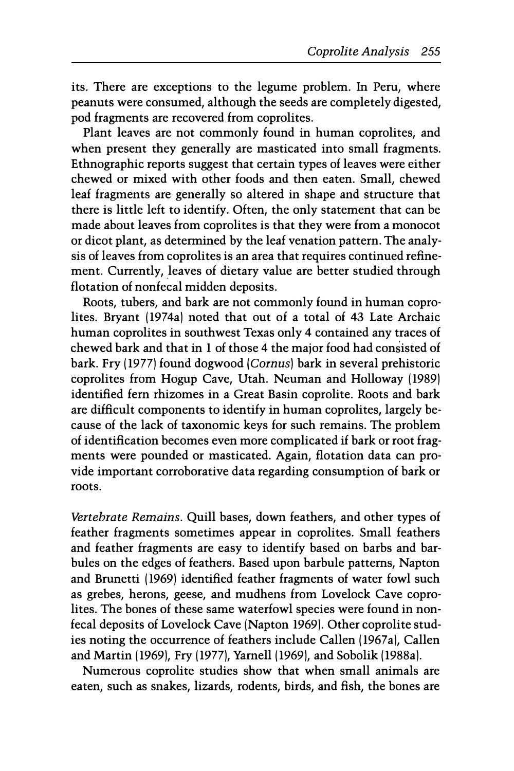its. There are exceptions to the legume problem. In Peru, where peanuts were consumed, although the seeds are completely digested, pod fragments are recovered from coprolites.

Plant leaves are not commonly found in human coprolites, and when present they generally are masticated into small fragments. Ethnographic reports suggest that certain types of leaves were either chewed or mixed with other foods and then eaten. Small, chewed leaf fragments are generally so altered in shape and structure that there is little left to identify. Often, the only statement that can be made about leaves from coprolites is that they were from a monocot or dicot plant, as determined by the leaf venation pattern. The analysis of leaves from coprolites is an area that requires continued refinement. Currently, leaves of dietary value are better studied through flotation of nonfecal midden deposits.

Roots, tubers, and bark are not commonly found in human coprolites. Bryant (1974a) noted that out of a total of 43 Late Archaic human coprolites in southwest Texas only 4 contained any traces of chewed bark and that in 1 of those 4 the major food had consisted of bark. Fry (1977) found dogwood (Comus) bark in several prehistoric coprolites from Hogup Cave, Utah. Neuman and Holloway (1989) identified fern rhizomes in a Great Basin coprolite. Roots and bark are difficult components to identify in human coprolites, largely because of the lack of taxonomic keys for such remains. The problem of identification becomes even more complicated if bark or root fragments were pounded or masticated. Again, flotation data can provide important corroborative data regarding consumption of bark or roots.

Vertebrate Remains. Quill bases, down feathers, and other types of feather fragments sometimes appear in coprolites. Small feathers and feather fragments are easy to identify based on barbs and barbules on the edges of feathers. Based upon barbule patterns, Napton and Brunetti (1969) identified feather fragments of water fowl such as grebes, herons, geese, and mudhens from Lovelock Cave coprolites. The bones of these same waterfowl species were found in nonfecal deposits of Lovelock Cave (Napton 1969). Other coprolite studies noting the occurrence of feathers include Callen (1967a), Callen and Martin (1969), Fry (1977), Yarnell (1969), and Sobolik (1988a).

Numerous coprolite studies show that when small animals are eaten, such as snakes, lizards, rodents, birds, and fish, the bones are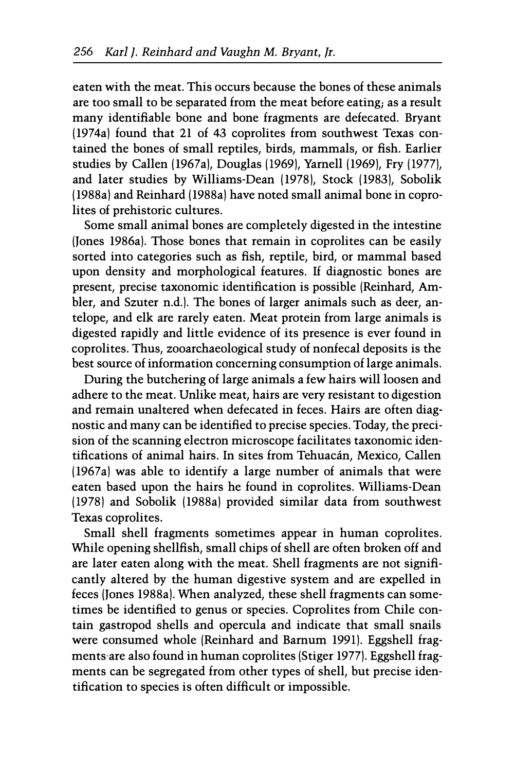eaten with the meat. This occurs because the bones of these animals are too small to be separated from the meat before eating; as a result many identifiable bone and bone fragments are defecated. Bryant (1974a) found that 21 of 43 coprolites from southwest Texas contained the bones of small reptiles, birds, mammals, or fish. Earlier studies by Callen (1967a), Douglas (1969), Yarnell (1969), Fry (1977), and later studies by Williams-Dean (1978), Stock (1983), Sobolik (1988a) and Reinhard (1988a) have noted small animal bone in coprolites of prehistoric cultures.

Some small animal bones are completely digested in the intestine (Jones 1986a). Those bones that remain in coprolites can be easily sorted into categories such as fish, reptile, bird, or mammal based upon density and morphological features. If diagnostic bones are present, precise taxonomic identification is possible (Reinhard, Ambler, and Szuter n.d.). The bones of larger animals such as deer, antelope, and elk are rarely eaten. Meat protein from large animals is digested rapidly and little evidence of its presence is ever found in coprolites. Thus, zooarchaeological study of nonfecal deposits is the best source of information concerning consumption of large animals.

During the butchering of large animals a few hairs will loosen and adhere to the meat. Unlike meat, hairs are very resistant to digestion and remain unaltered when defecated in feces. Hairs are often diagnostic and many can be identified to precise species. Today, the precision of the scanning electron microscope facilitates taxonomic identifications of animal hairs. In sites from Tehuacán, Mexico, Callen (1967a) was able to identify a large number of animals that were eaten based upon the hairs he found in coprolites. Williams-Dean (1978) and Sobolik (1988a) provided similar data from southwest Texas coprolites.

Small shell fragments sometimes appear in human coprolites. While opening shellfish, small chips of shell are often broken off and are later eaten along with the meat. Shell fragments are not significantly altered by the human digestive system and are expelled in feces (Jones 1988a). When analyzed, these shell fragments can sometimes be identified to genus or species. Coprolites from Chile contain gastropod shells and opercula and indicate that small snails were consumed whole (Reinhard and Barnum 1991). Eggshell fragments are also found in human coprolites (Stiger 1977). Eggshell fragments can be segregated from other types of shell, but precise identification to species is often difficult or impossible.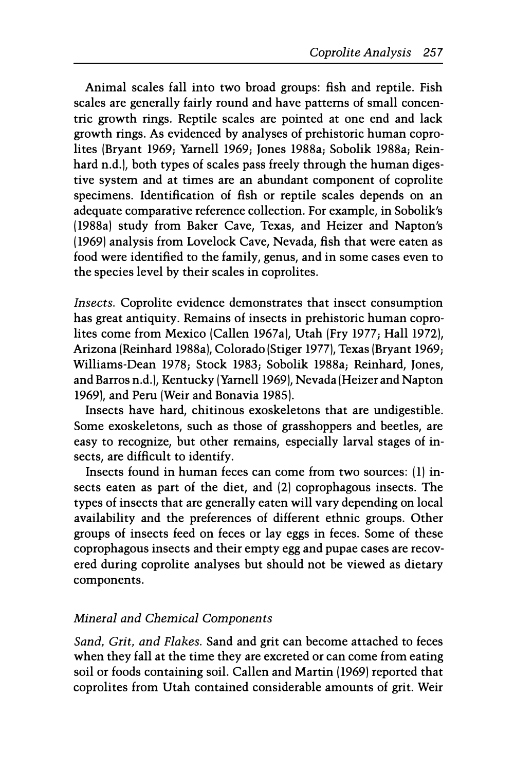Animal scales fall into two broad groups: fish and reptile. Fish scales are generally fairly round and have patterns of small concentric growth rings. Reptile scales are pointed at one end and lack growth rings. As evidenced by analyses of prehistoric human coprolites (Bryant 1969; Yarnell 1969; Jones 1988a; Sobolik 1988a; Reinhard n.d.), both types of scales pass freely through the human digestive system and at times are an abundant component of coprolite specimens. Identification of fish or reptile scales depends on an adequate comparative reference collection. For example, in Sobolik's (1988a) study from Baker Cave, Texas, and Heizer and Napton's (1969) analysis from Lovelock Cave, Nevada, fish that were eaten as food were identified to the family, genus, and in some cases even to the species level by their scales in coprolites.

Insects. Coprolite evidence demonstrates that insect consumption has great antiquity. Remains of insects in prehistoric human coprolites come from Mexico (Callen 1967a), Utah (Fry 1977; Hall 1972), Arizona (Reinhard 1988a), Colorado (Stiger 1977), Texas (Bryant 1969; Williams-Dean 1978; Stock 1983; Sobolik 1988a; Reinhard, Jones, and Barros n.d.), Kentucky (Yarnell 1969), Nevada (Heizer and Napton 1969], and Peru (Weir and Bonavia 1985).

Insects have hard, chitinous exoskeletons that are undigestible. Some exoskeletons, such as those of grasshoppers and beetles, are easy to recognize, but other remains, especially larval stages of insects, are difficult to identify.

Insects found in human feces can come from two sources: (1) insects eaten as part of the diet, and (2) coprophagous insects. The types of insects that are generally eaten will vary depending on local availability and the preferences of different ethnic groups. Other groups of insects feed on feces or lay eggs in feces. Some of these coprophagous insects and their empty egg and pupae cases are recovered during coprolite analyses but should not be viewed as dietary components.

## Mineral and Chemical Components

Sand, Grit, and Flakes. Sand and grit can become attached to feces when they fall at the time they are excreted or can come from eating soil or foods containing soil. Callen and Martin (1969) reported that coprolites from Utah contained considerable amounts of grit. Weir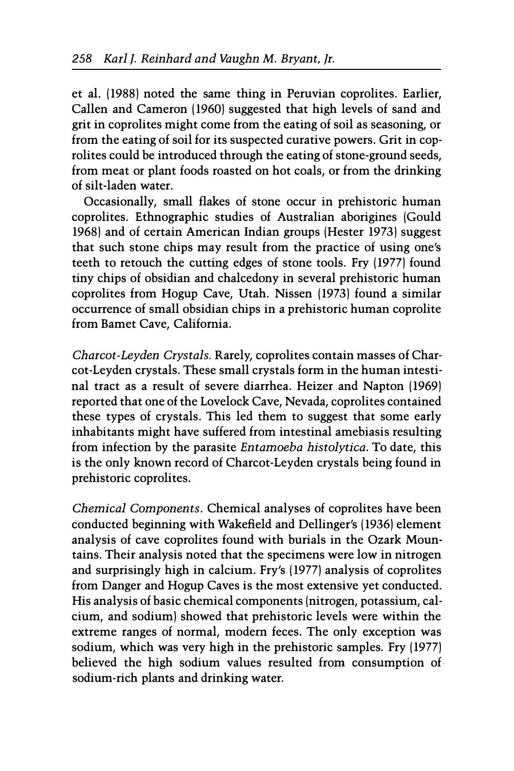et al. (1988) noted the same thing in Peruvian coprolites. Earlier, Callen and Cameron (1960) suggested that high levels of sand and grit in coprolites might come from the eating of soil as seasoning, or from the eating of soil for its suspected curative powers. Grit in coprolites could be introduced through the eating of stone-ground seeds, from meat or plant foods roasted on hot coals, or from the drinking of silt-laden water.

Occasionally, small flakes of stone occur in prehistoric human coprolites. Ethnographic studies of Australian aborigines (Gould 1968) and of certain American Indian groups (Hester 1973) suggest that such stone chips may result from the practice of using one's teeth to retouch the cutting edges of stone tools. Fry (1977) found tiny chips of obsidian and chalcedony in several prehistoric human coprolites from Hogup Cave, Utah. Nissen (1973) found a similar occurrence of small obsidian chips in a prehistoric human coprolite from Bamet Cave, California.

Charcot-Leyden Crystals. Rarely, coprolites contain masses of Charcot-Leyden crystals. These small crystals form in the human intestinal tract as a result of severe diarrhea. Heizer and Napton (1969) reported that one of the Lovelock Cave, Nevada, coprolites contained these types of crystals. This led them to suggest that some early inhabitants might have suffered from intestinal amebiasis resulting from infection by the parasite Entamoeba histolytica. To date, this is the only known record of Charcot-Leyden crystals being found in prehistoric coprolites.

Chemical Components. Chemical analyses of coprolites have been conducted beginning with Wakefield and Dellinger's (1936) element analysis of cave coprolites found with burials in the Ozark Mountains. Their analysis noted that the specimens were low in nitrogen and surprisingly high in calcium. Fry's (1977) analysis of coprolites from Danger and Hogup Caves is the most extensive yet conducted. His analysis of basic chemical components (nitrogen, potassium, calcium, and sodium) showed that prehistoric levels were within the extreme ranges of normal, modern feces. The only exception was sodium, which was very high in the prehistoric samples. Fry (1977) believed the high sodium values resulted from consumption of. sodium-rich plants and drinking water.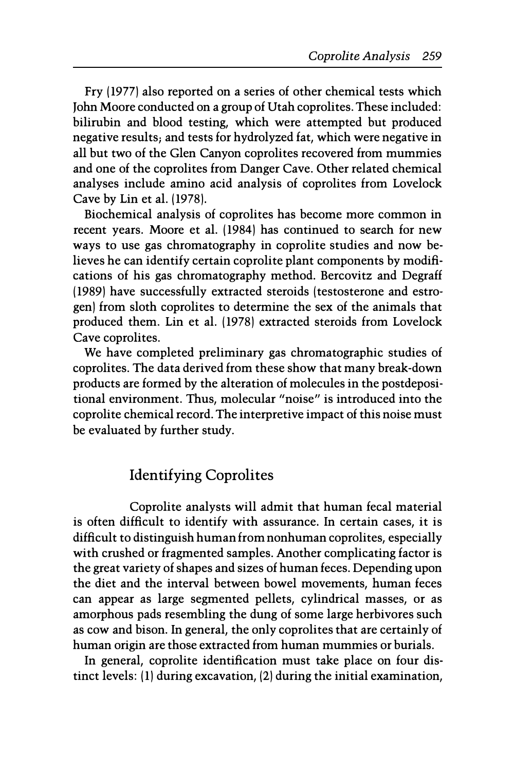Fry (1977) also reported on a series of other chemical tests which John Moore conducted on a group of Utah coprolites. These included: bilirubin and blood testing, which were attempted but produced negative results; and tests for hydrolyzed fat, which were negative in all but two of the Glen Canyon coprolites recovered from mummies and one of the coprolites from Danger Cave. Other related chemical analyses include amino acid analysis of coprolites from Lovelock Cave by Lin et al. (1978).

Biochemical analysis of coprolites has become more common in recent years. Moore et al. (1984) has continued to search for new ways to use gas chromatography in coprolite studies and now believes he can identify certain coprolite plant components by modifications of his gas chromatography method. Bercovitz and Degraff (1989) have successfully extracted steroids (testosterone and estrogen) from sloth coprolites to determine the sex of the animals that produced them. Lin et al. (1978) extracted steroids from Lovelock Cave coprolites.

We have completed preliminary gas chromatographic studies of coprolites. The data derived from these show that many break-down products are formed by the alteration of molecules in the postdepositional environment. Thus, molecular "noise" is introduced into the coprolite chemical record. The interpretive impact of this noise must be evaluated by further study.

# Identifying Coprolites

Coprolite analysts will admit that human fecal material is often difficult to identify with assurance. In certain cases, it is difficult to distinguish human from nonhuman coprolites, especially with crushed or fragmented samples. Another complicating factor is the great variety of shapes and sizes of human feces. Depending upon the diet and the interval between bowel movements, human feces can appear as large segmented pellets, cylindrical masses, or as amorphous pads resembling the dung of some large herbivores such as cow and bison. In general, the only coprolites that are certainly of human origin are those extracted from human mummies or burials.

In general, coprolite identification must take place on four distinct levels: (1) during excavation, (2) during the initial examination,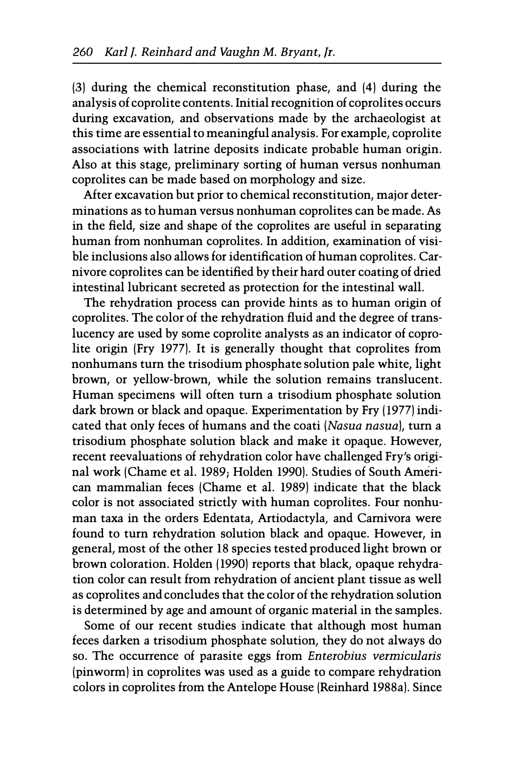l3) during the chemical reconstitution phase, and l4) during the analysis of coprolite contents. Initial recognition of coprolites occurs during excavation, and observations made by the archaeologist at this time are essential to meaningful analysis. For example, coprolite associations with latrine deposits indicate probable human origin. Also at this stage, preliminary sorting of human versus nonhuman coprolites can be made based on morphology and size.

After excavation but prior to chemical reconstitution, major determinations as to human versus nonhuman coprolites can be made. As in the field, size and shape of the coprolites are useful in separating human from nonhuman coprolites. In addition, examination of visible inclusions also allows for identification of human coprolites. Carnivore coprolites can be identified by their hard outer coating of dried intestinal lubricant secreted as protection for the intestinal wall.

The rehydration process can provide hints as to human origin of coprolites. The color of the rehydration fluid and the degree of translucency are used by some coprolite analysts as an indicator of coprolite origin (Fry 1977). It is generally thought that coprolites from nonhumans turn the trisodium phosphate solution pale white, light brown, or yellow-brown, while the solution remains translucent. Human specimens will often turn a trisodium phosphate solution dark brown or black and opaque. Experimentation by Fry (1977) indicated that only feces of humans and the coati (Nasua nasua), turn a trisodium phosphate solution black and make it opaque. However, recent reevaluations of rehydration color have challenged Fry's original work lChame et al. 1989; Holden 1990). Studies of South American mammalian feces (Chame et al. 1989) indicate that the black color is not associated strictly with human coprolites. Four nonhuman taxa in the orders Edentata, Artiodactyla, and Carnivora were found to turn rehydration solution black and opaque. However, in general, most of the other 18 species tested produced light brown or brown coloration. Holden (1990) reports that black, opaque rehydration color can result from rehydration of ancient plant tissue as well as coprolites and concludes that the color of the rehydration solution is determined by age and amount of organic material in the samples.

Some of our recent studies indicate that although most human feces darken a trisodium phosphate solution, they do not always do so. The occurrence of parasite eggs from Enterobius vermicularis (pinworm) in coprolites was used as a guide to compare rehydration colors in coprolites from the Antelope House lReinhard 1988a). Since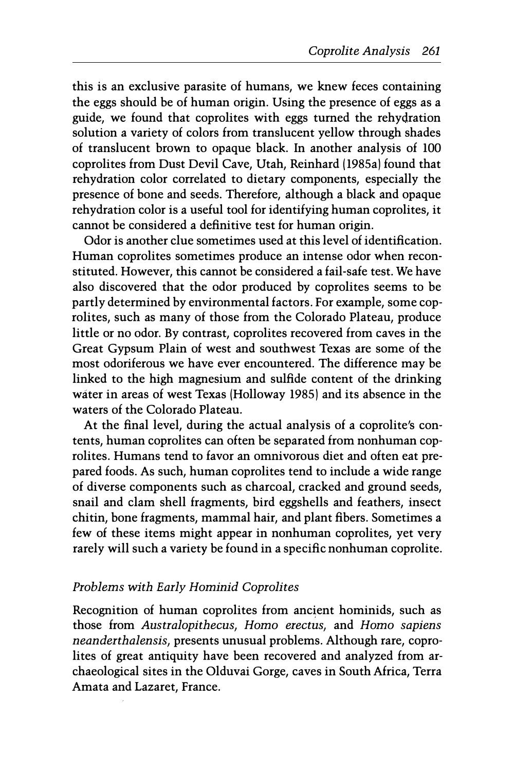this is an exclusive parasite of humans, we knew feces containing the eggs should be of human origin. Using the presence of eggs as a guide, we found that coprolites with eggs turned the rehydration solution a variety of colors from translucent yellow through shades of translucent brown to opaque black. In another analysis of 100 coprolites from Dust Devil Cave, Utah, Reinhard (1985a) found that rehydration color correlated to dietary components, especially the presence of bone and seeds. Therefore, although a black and opaque rehydration color is a useful tool for identifying human coprolites, it cannot be considered a definitive test for human origin.

Odor is another clue sometimes used at this level of identification. Human coprolites sometimes produce an intense odor when reconstituted. However, this cannot be considered a fail-safe test. We have also discovered that the odor produced by coprolites seems to be partly determined by environmental factors. For example, some coprolites, such as many of those from the Colorado Plateau, produce little or no odor. By contrast, coprolites recovered from caves in the Great Gypsum Plain of west and southwest Texas are some of the most odoriferous we have ever encountered. The difference may be linked to the high magnesium and sulfide content of the drinking water in areas of west Texas (Holloway 1985) and its absence in the waters of the Colorado Plateau.

At the final level, during the actual analysis of a coprolite's contents, human coprolites can often be separated from nonhuman coprolites. Humans tend to favor an omnivorous diet and often eat prepared foods. As such, human coprolites tend to include a wide range of diverse components such as charcoal, cracked and ground seeds, snail and clam shell fragments, bird eggshells and feathers, insect chitin, bone fragments, mammal hair, and plant fibers. Sometimes a few of these items might appear in nonhuman coprolites, yet very rarely will such a variety be found in a specific nonhuman coprolite.

## Problems with Early Hominid Coprolites

Recognition of human coprolites from ancient hominids, such as those from Australopithecus, Homo erectus, and Homo sapiens neanderthalensis, presents unusual problems. Although rare, coprolites of great antiquity have been recovered and analyzed from archaeological sites in the Olduvai Gorge, caves in South Africa, Terra Amata and Lazaret, France.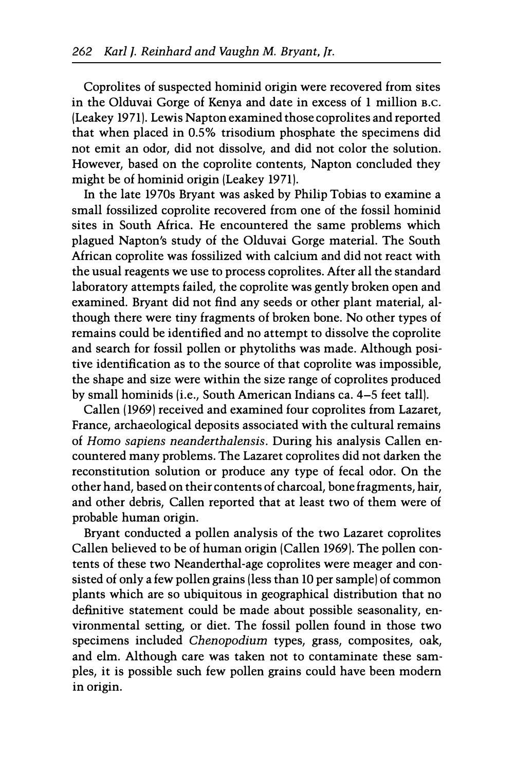Coprolites of suspected hominid origin were recovered from sites in the Olduvai Gorge of Kenya and date in excess of 1 million B.C. (Leakey 1971). Lewis Napton examined those coprolites and reported that when placed in 0.5% trisodium phosphate the specimens did not emit an odor, did not dissolve, and did not color the solution. However, based on the coprolite contents, Napton concluded they might be of hominid origin (Leakey 1971).

In the late 1970s Bryant was asked by Philip Tobias to examine a small fossilized coprolite recovered from one of the fossil hominid sites in South Africa. He encountered the same problems which plagued Napton's study of the Olduvai Gorge material. The South African coprolite was fossilized with calcium and did not react with the usual reagents we use to process coprolites. After all the standard laboratory attempts failed, the coprolite was gently broken open and examined. Bryant did not find any seeds or other plant material, although there were tiny fragments of broken bone. No other types of remains could be identified and no attempt to dissolve the coprolite and search for fossil pollen or phytoliths was made. Although positive identification as to the source of that coprolite was impossible, the shape and size were within the size range of coprolites produced by small hominids (i.e., South American Indians ca. 4-5 feet tall).

Callen (1969) received and examined four coprolites from Lazaret, France, archaeological deposits associated with the cultural remains of Homo sapiens neanderthalensis. During his analysis Callen encountered many problems. The Lazaret coprolites did not darken the reconstitution solution or produce any type of fecal odor. On the other hand, based on their contents of charcoal, bone fragments, hair, and other debris, Callen reported that at least two of them were of probable human origin.

Bryant conducted a pollen analysis of the two Lazaret coprolites Callen believed to be of human origin (Callen 1969). The pollen contents of these two Neanderthal-age coprolites were meager and consisted of only a few pollen grains (less than 10 per sample) of common plants which are so ubiquitous in geographical distribution that no definitive statement could be made about possible seasonality, environmental setting, or diet. The fossil pollen found in those two specimens included Chenopodium types, grass, composites, oak, and elm. Although care was taken not to contaminate these samples, it is possible such few pollen grains could have been modern in origin.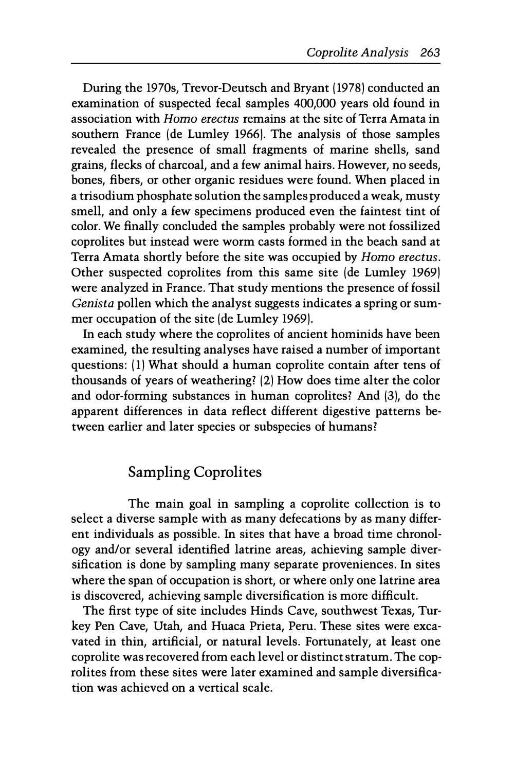During the 1970s, Trevor-Deutsch and Bryant (1978) conducted an examination of suspected fecal samples 400,000 years old found in association with Homo erectus remains at the site of Terra Amata in southern France (de Lumley 1966). The analysis of those samples revealed the presence of small fragments of marine shells, sand grains, flecks of charcoal, and a few animal hairs. However, no seeds, bones, fibers, or other organic residues were found. When placed in a trisodium phosphate solution the samples produced a weak, musty smell, and only a few specimens produced even the faintest tint of color. We finally concluded the samples probably were not fossilized coprolites but instead were worm casts formed in the beach sand at Terra Amata shortly before the site was occupied by Homo erectus. Other suspected coprolites from this same site (de Lumley 1969) were analyzed in France. That study mentions the presence of fossil Genista pollen which the analyst suggests indicates a spring or summer occupation of the site (de Lumley 1969).

In each study where the coprolites of ancient hominids have been examined, the resulting analyses have raised a number of important questions: (1) What should a human coprolite contain after tens of thousands of years of weathering? (2) How does time alter the color and odor-forming substances in human coprolites? And (3), do the apparent differences in data reflect different digestive patterns between earlier and later species or subspecies of humans?

# Sampling Coprolites

The main goal in sampling a coprolite collection is to select a diverse sample with as many defecations by as many different individuals as possible. In sites that have a broad time chronology and/or several identified latrine areas, achieving sample diversification is done by sampling many separate proveniences. In sites where the span of occupation is short, or where only one latrine area is discovered, achieving sample diversification is more difficult.

The first type of site includes Hinds Cave, southwest Texas, Turkey Pen Cave, Utah, and Huaca Prieta, Peru. These sites were excavated in thin, artificial, or natural levels. Fortunately, at least one coprolite was recovered from each level or distinct stratum. The coprolites from these sites were later examined and sample diversification was achieved on a vertical scale.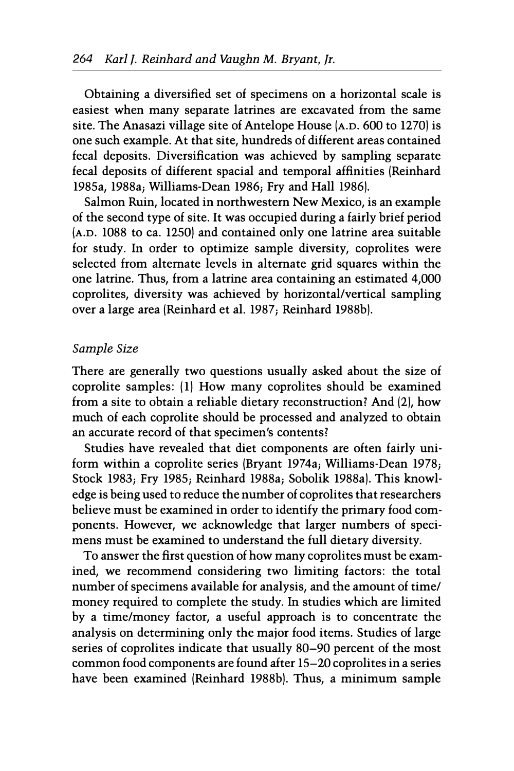Obtaining a diversified set of specimens on a horizontal scale is easiest when many separate latrines are excavated from the same site. The Anasazi village site of Antelope House (A.D. 600 to 1270) is one such example. At that site, hundreds of different areas contained fecal deposits. Diversification was achieved by sampling separate fecal deposits of different spacial and temporal affinities (Reinhard 1985a, 1988a; Williams-Dean 1986; Fry and Hall 1986).

Salmon Ruin, located in northwestern New Mexico, is an example of the second type of site. It was occupied during a fairly brief period (A.D. 1088 to ca. 1250) and contained only one latrine area suitable for study. In order to optimize sample diversity, coprolites were selected from alternate levels in alternate grid squares within the one latrine. Thus, from a latrine area containing an estimated 4,000 coprolites, diversity was achieved by horizontal/vertical sampling over a large area (Reinhard et al. 1987; Reinhard 1988b).

#### Sample Size

There are generally two questions usually asked about the size of coprolite samples: (1) How many coprolites should be examined from a site to obtain a reliable dietary reconstruction? And (2), how much of each coprolite should be processed and analyzed to obtain an accurate record of that specimen's contents?

Studies have revealed that diet components are often fairly uniform within a coprolite series (Bryant 1974a; Williams-Dean 1978; Stock 1983; Fry 1985; Reinhard 1988a; Sobolik 1988a). This knowledge is being used to reduce the number of coprolites that researchers believe must be examined in order to identify the primary food components. However, we acknowledge that larger numbers of specimens must be examined to understand the full dietary diversity.

To answer the first question of how many coprolites must be examined, we recommend considering two limiting factors: the total number of specimens available for analysis, and the amount of time/ money required to complete the study. In studies which are limited by a time/money factor, a useful approach is to concentrate the analysis on determining only the major food items. Studies of large series of coprolites indicate that usually 80-90 percent of the most common food components are found after 15-20 coprolites in a series have been examined (Reinhard 1988b). Thus, a minimum sample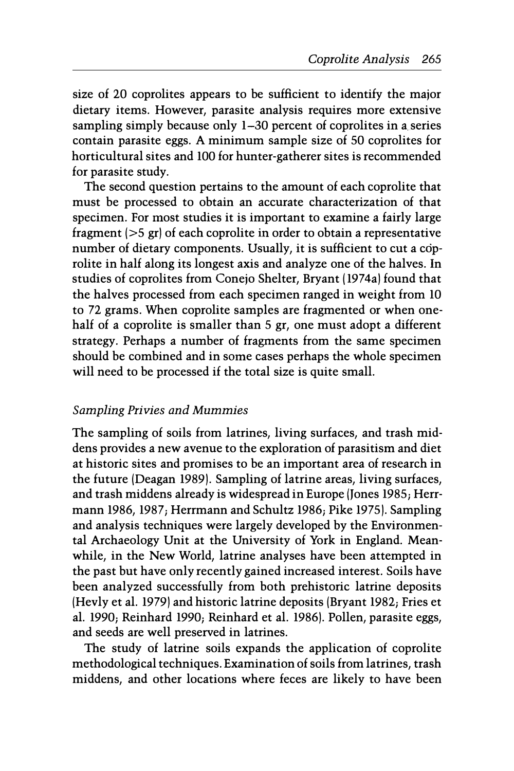size of 20 coprolites appears to be sufficient to identify the major dietary items. However, parasite analysis requires more extensive sampling simply because only 1-30 percent of coprolites in a series contain parasite eggs. A minimum sample size of 50 coprolites for horticultural sites and 100 for hunter-gatherer sites is recommended for parasite study.

The second question pertains to the amount of each coprolite that must be processed to obtain an accurate characterization of that specimen. For most studies it is important to examine a fairly large fragment (>5 gr) of each coprolite in order to obtain a representative number of dietary components. Usually, it is sufficient to cut a coprolite in half along its longest axis and analyze one of the halves. In studies of coprolites from Conejo Shelter, Bryant (1974a) found that the halves processed from each specimen ranged in weight from 10 to 72 grams. When coprolite samples are fragmented or when onehalf of a coprolite is smaller than 5 gr, one must adopt a different strategy. Perhaps a number of fragments from the same specimen should be combined and in some cases perhaps the whole specimen will need to be processed if the total size is quite small.

## Sampling Privies and Mummies

The sampling of soils from latrines, living surfaces, and trash middens provides a new avenue to the exploration of parasitism and diet at historic sites and promises to be an important area of research in the future (Deagan 1989). Sampling of latrine areas, living surfaces, and trash middens already is widespread in Europe (Jones 1985; Herrmann 1986, 1987; Herrmann and Schultz 1986; Pike 1975). Sampling and analysis techniques were largely developed by the Environmental Archaeology Unit at the University of York in England. Meanwhile, in the New World, latrine analyses have been attempted in the past but have only recently gained increased interest. Soils have been analyzed successfully from both prehistoric latrine deposits (Hevly et al. 1979) and historic latrine deposits (Bryant 1982; Fries et al. 1990; Reinhard 1990; Reinhard et al. 1986). Pollen, parasite eggs, and seeds are well preserved in latrines.

The study of latrine soils expands the application of coprolite methodological techniques. Examination of soils from latrines, trash middens, and other locations where feces are likely to have been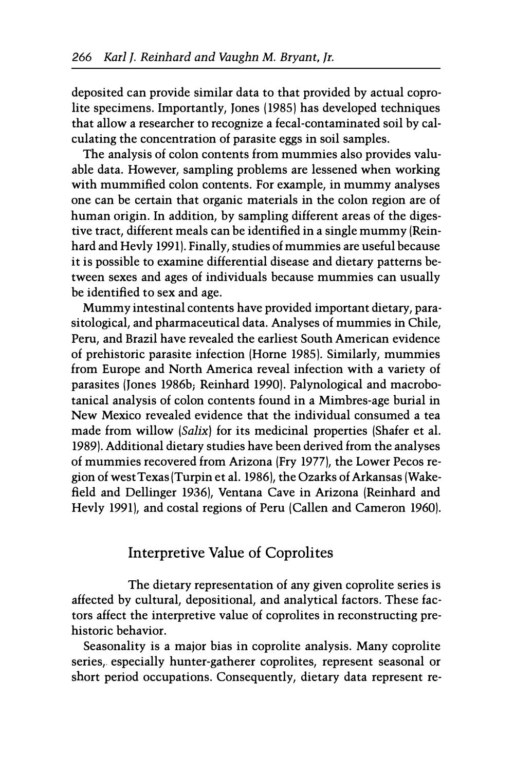deposited can provide similar data to that provided by actual coprolite specimens. Importantly, Jones (1985) has developed techniques that allow a researcher to recognize a fecal-contaminated soil by calculating the concentration of parasite eggs in soil samples.

The analysis of colon contents from mummies also provides valuable data. However, sampling problems are lessened when working with mummified colon contents. For example, in mummy analyses one can be certain that organic materials in the colon region are of human origin. In addition, by sampling different areas of the digestive tract, different meals can be identified in a single mummy (Reinhard and Hevly 1991). Finally, studies of mummies are useful because it is possible to examine differential disease and dietary patterns between sexes and ages of individuals because mummies can usually be identified to sex and age.

Mummy intestinal contents have provided important dietary, parasitological, and pharmaceutical data. Analyses of mummies in Chile, Peru, and Brazil have revealed the earliest South American evidence of prehistoric parasite infection (Horne 1985). Similarly, mummies from Europe and North America reveal infection with a variety of parasites (Jones 1986b; Reinhard 1990). Palynological and macrobotanical analysis of colon contents found in a Mimbres-age burial in New Mexico revealed evidence that the individual consumed a tea made from willow (Salix) for its medicinal properties (Shafer et al. 1989). Additional dietary studies have been derived from the analyses of mummies recovered from Arizona (Fry 1977), the Lower Pecos region of west Texas (Turpin et al. 1986), the Ozarks of Arkansas (Wakefield and Dellinger 1936), Ventana Cave in Arizona (Reinhard and Hevly 1991), and costal regions of Peru (Callen and Cameron 1960).

# Interpretive Value of Coprolites

The dietary representation of any given coprolite series is affected by cultural, depositional, and analytical factors. These factors affect the interpretive value of coprolites in reconstructing prehistoric behavior.

Seasonality is a major bias in coprolite analysis. Many coprolite series, especially hunter-gatherer coprolites, represent seasonal or short period occupations. Consequently, dietary data represent re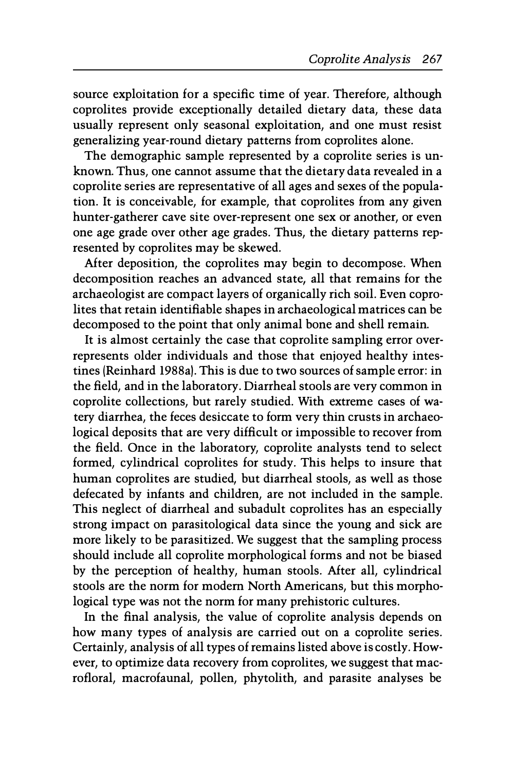source exploitation for a specific time of year. Therefore, although coprolites provide exceptionally detailed dietary data, these data usually represent only seasonal exploitation, and one must resist generalizing year-round dietary patterns from coprolites alone.

The demographic sample represented by a coprolite series is unknown. Thus, one cannot assume that the dietary data revealed in a coprolite series are representative of all ages and sexes of the population. It is conceivable, for example, that coprolites from any given hunter-gatherer cave site over-represent one sex or another, or even one age grade over other age grades. Thus, the dietary patterns represented by coprolites may be skewed.

After deposition, the coprolites may begin to decompose. When decomposition reaches an advanced state, all that remains for the archaeologist are compact layers of organically rich soil. Even coprolites that retain identifiable shapes in archaeological matrices can be decomposed to the point that only animal bone and shell remain.

It is almost certainly the case that coprolite sampling error overrepresents older individuals and those that enjoyed healthy intestines (Reinhard 1988a). This is due to two sources of sample error: in the field, and in the laboratory. Diarrheal stools are very common in coprolite collections, but rarely studied. With extreme cases of watery diarrhea, the feces desiccate to form very thin crusts in archaeological deposits that are very difficult or impossible to recover from the field. Once in the laboratory, coprolite analysts tend to select formed, cylindrical coprolites for study. This helps to insure that human coprolites are studied, but diarrheal stools, as well as those defecated by infants and children, are not included in the sample. This neglect of diarrheal and subadult coprolites has an especially strong impact on parasitological data since the young and sick are more likely to be parasitized. We suggest that the sampling process should include all coprolite morphological forms and not be biased by the perception of healthy, human stools. After all, cylindrical stools are the norm for modern North Americans, but this morphological type was not the norm for many prehistoric cultures.

In the final analysis, the value of coprolite analysis depends on how many types of analysis are carried out on a coprolite series. Certainly, analysis of all types of remains listed above is costly. However, to optimize data recovery from coprolites, we suggest that macrofloral, macrofaunal, pollen, phytolith, and parasite analyses be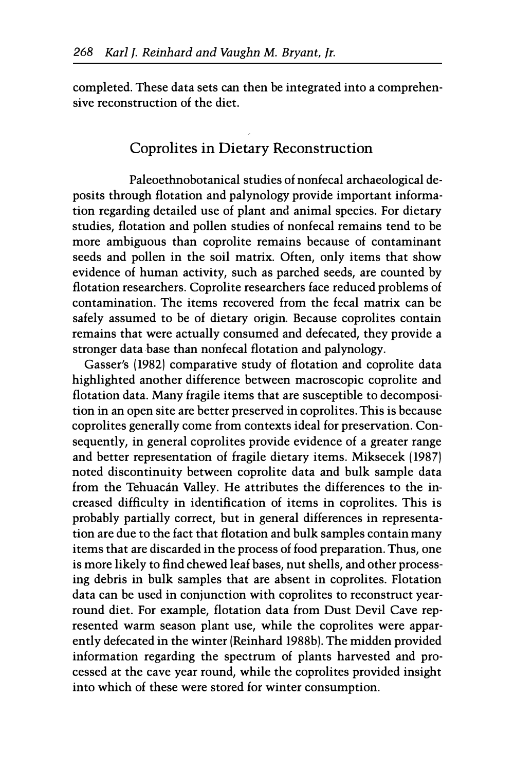completed. These data sets can then be integrated into a comprehensive reconstruction of the diet.

# Coprolites in Dietary Reconstruction

Paleoethnobotanical studies of nonfecal archaeological deposits through flotation and palynology provide important information regarding detailed use of plant and animal species. For dietary studies, flotation and pollen studies of nonfecal remains tend to be more ambiguous than coprolite remains because of contaminant seeds and pollen in the soil matrix. Often, only items that show evidence of human activity, such as parched seeds, are counted by flotation researchers. Coprolite researchers face reduced problems of contamination. The items recovered from the fecal matrix can be safely assumed to be of dietary origin. Because coprolites contain remains that were actually consumed and defecated, they provide a stronger data base than nonfecal flotation and palynology.

Gasser's (1982) comparative study of flotation and coprolite data highlighted another difference between macroscopic coprolite and flotation data. Many fragile items that are susceptible to decomposition in an open site are better preserved in coprolites. This is because coprolites generally come from contexts ideal for preservation. Consequently, in general coprolites provide evidence of a greater range and better representation of fragile dietary items. Miksecek (1987) noted discontinuity between coprolite data and bulk sample data from the Tehuacán Valley. He attributes the differences to the increased difficulty in identification of items in coprolites. This is probably partially correct, but in general differences in representation are due to the fact that flotation and bulk samples contain many items that are discarded in the process of food preparation. Thus, one is more likely to find chewed leaf bases, nut shells, and other processing debris in bulk samples that are absent in coprolites. Flotation data can be used in conjunction with coprolites to reconstruct yearround diet. For example, flotation data from Dust Devil Cave represented warm season plant use, while the coprolites were apparently defecated in the winter (Reinhard 1988b). The midden provided information regarding the spectrum of plants harvested and processed at the cave year round, while the coprolites provided insight into which of these were stored for winter consumption.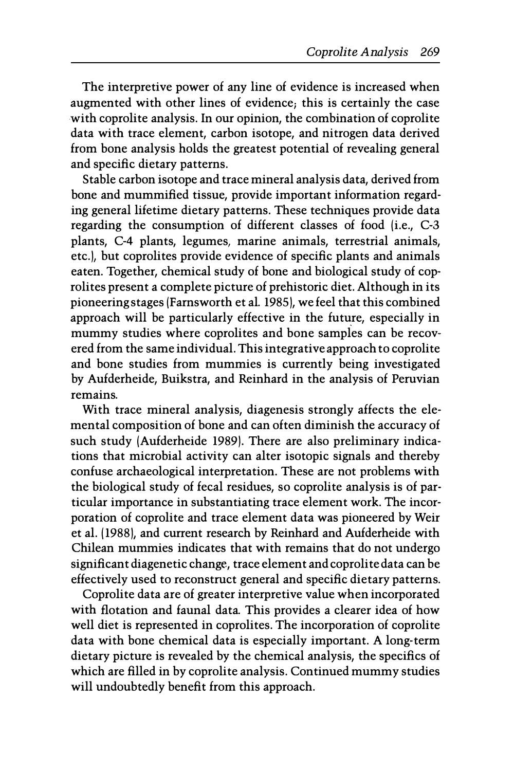The interpretive power of any line of evidence is increased when augmented with other lines of evidence; this is certainly the case with coprolite analysis. In our opinion, the combination of coprolite data with trace element, carbon isotope, and nitrogen data derived from bone analysis holds the greatest potential of revealing general and specific dietary patterns.

Stable carbon isotope and trace mineral analysis data, derived from bone and mummified tissue, provide important information regarding general lifetime dietary patterns. These techniques provide data regarding the consumption of different classes of food (i.e., C-3 plants, C-4 plants, legumes, marine animals, terrestrial animals, etc.), but coprolites provide evidence of specific plants and animals eaten. Together, chemical study of bone and biological study of coprolites present a complete picture of prehistoric diet. Although in its pioneering stages (Farnsworth et al. 1985), we feel that this combined approach will be particularly effective in the future, especially in mummy studies where coprolites and bone samples can be recovered from the same individual. This integrative approach to coprolite and bone studies from mummies is currently being investigated by Aufderheide, Buikstra, and Reinhard in the analysis of Peruvian remains.

With trace mineral analysis, diagenesis strongly affects the elemental composition of bone and can often diminish the accuracy of such study (Aufderheide 1989). There are also preliminary indications that microbial activity can alter isotopic signals and thereby confuse archaeological interpretation. These are not problems with the biological study of fecal residues, so coprolite analysis is of particular importance in substantiating trace element work. The incorporation of coprolite and trace element data was pioneered by Weir et al. (1988), and current research by Reinhard and Aufderheide with Chilean mummies indicates that with remains that do not undergo significant diagenetic change, trace element and coprolite data can be effectively used to reconstruct general and specific dietary patterns.

Coprolite data are of greater interpretive value when incorporated with flotation and faunal data. This provides a clearer idea of how well diet is represented in coprolites. The incorporation of coprolite data with bone chemical data is especially important. A long-term dietary picture is revealed by the chemical analysis, the specifics of which are filled in by coprolite analysis. Continued mummy studies will undoubtedly benefit from this approach.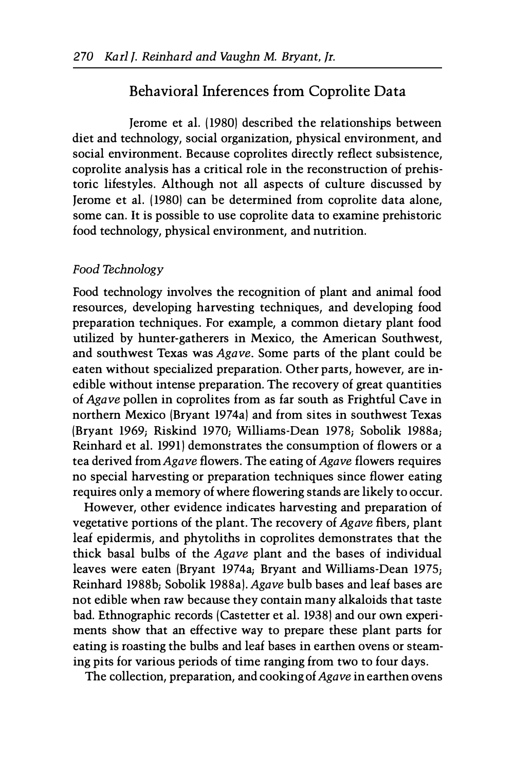## Behavioral Inferences from Coprolite Data

Jerome et al. (1980) described the relationships between diet and technology, social organization, physical environment, and social environment. Because coprolites directly reflect subsistence, coprolite analysis has a critical role in the reconstruction of prehistoric lifestyles. Although not all aspects of culture discussed by Jerome et al. (1980) can be determined from coprolite data alone, some can. It is possible to use coprolite data to examine prehistoric food technology, physical environment, and nutrition.

#### Food Technology

Food technology involves the recognition of plant and animal food resources, developing harvesting techniques, and developing food preparation techniques. For example, a common dietary plant food utilized by hunter-gatherers in Mexico, the American Southwest, and southwest Texas was Agave. Some parts of the plant could be eaten without specialized preparation. Other parts, however, are inedible without intense preparation. The recovery of great quantities of Agave pollen in coprolites from as far south as Frightful Cave in northern Mexico (Bryant 1974a) and from sites in southwest Texas (Bryant 1969; Riskind 1970; Williams-Dean 1978; Sobolik 1988a; Reinhard et al. 1991) demonstrates the consumption of flowers or a tea derived from Agave flowers. The eating of Agave flowers requires no special harvesting or preparation techniques since flower eating requires only a memory of where flowering stands are likely to occur.

However, other evidence indicates harvesting and preparation of vegetative portions of the plant. The recovery of Agave fibers, plant leaf epidermis, and phytoliths in coprolites demonstrates that the thick basal bulbs of the Agave plant and the bases of individual leaves were eaten (Bryant 1974a; Bryant and Williams-Dean 1975; Reinhard 1988b; Sobolik 1988a). Agave bulb bases and leaf bases are not edible when raw because they contain many alkaloids that taste bad. Ethnographic records (Castetter et al. 1938) and our own experiments show that an effective way to prepare these plant parts for eating is roasting the bulbs and leaf bases in earthen ovens or steaming pits for various periods of time ranging from two to four days.

The collection, preparation, and cooking of Agave in earthen ovens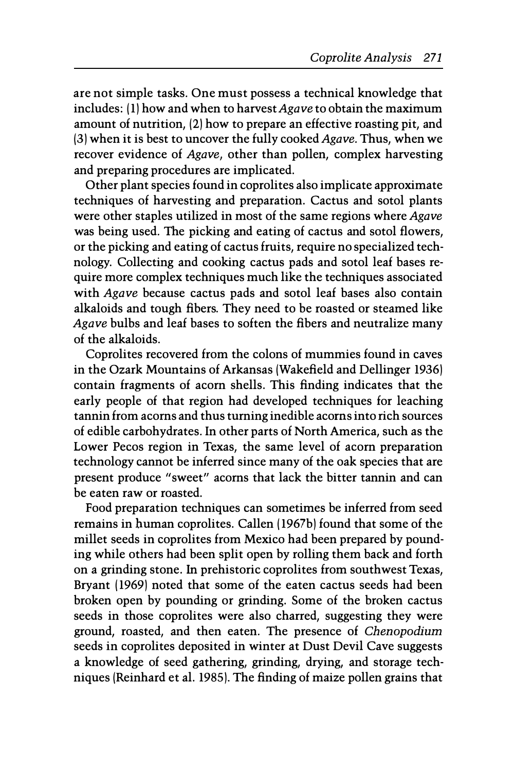are not simple tasks. One must possess a technical knowledge that includes: (1) how and when to harvest Agave to obtain the maximum amount of nutrition, (2) how to prepare an effective roasting pit, and (3) when it is best to uncover the fully cooked Agave. Thus, when we recover evidence of Agave, other than pollen, complex harvesting and preparing procedures are implicated.

Other plant species found in coprolites also implicate approximate techniques of harvesting and preparation. Cactus and sotol plants were other staples utilized in most of the same regions where Agave was being used. The picking and eating of cactus and sotol flowers, or the picking and eating of cactus fruits, require no specialized technology. Collecting and cooking cactus pads and sotol leaf bases require more complex techniques much like the techniques associated with Agave because cactus pads and sotol leaf bases also contain alkaloids and tough fibers. They need to be roasted or steamed like Agave bulbs and leaf bases to soften the fibers and neutralize many of the alkaloids.

Coprolites recovered from the colons of mummies found in caves in the Ozark Mountains of Arkansas (Wakefield and Dellinger 1936) contain fragments of acorn shells. This finding indicates that the early people of that region had developed techniques for leaching tannin from acorns and thus turning inedible acorns into rich sources of edible carbohydrates. In other parts of North America, such as the Lower Pecos region in Texas, the same level of acorn preparation technology cannot be inferred since many of the oak species that are present produce "sweet" acorns that lack the bitter tannin and can be eaten raw or roasted.

Food preparation techniques can sometimes be inferred from seed remains in human coprolites. Callen (1967b) found that some of the millet seeds in coprolites from Mexico had been prepared by pounding while others had been split open by rolling them back and forth on a grinding stone. In prehistoric coprolites from southwest Texas, Bryant (1969) noted that some of the eaten cactus seeds had been broken open by pounding or grinding. Some of the broken cactus seeds in those coprolites were also charred, suggesting they were ground, roasted, and then eaten. The presence of Chenopodium seeds in coprolites deposited in winter at Dust Devil Cave suggests a knowledge of seed gathering, grinding, drying, and storage techniques (Reinhard et al. 1985). The finding of maize pollen grains that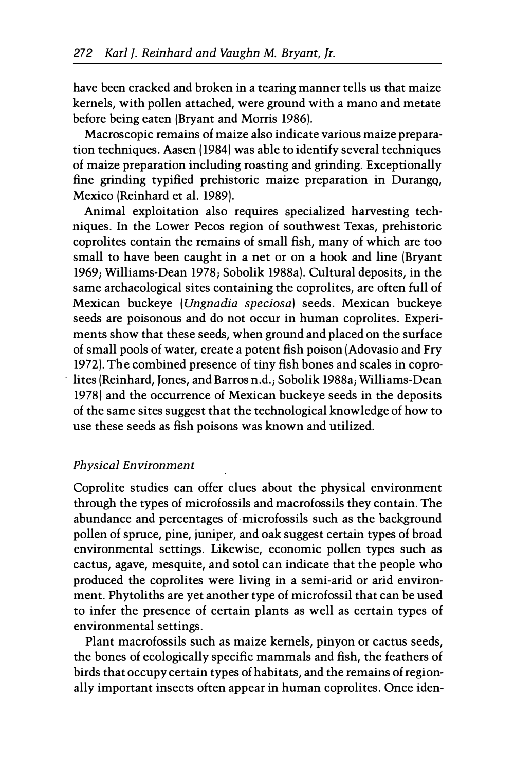have been cracked and broken in a tearing manner tells us that maize kernels, with pollen attached, were ground with a mano and metate before being eaten (Bryant and Morris 1986).

Macroscopic remains of maize also indicate various maize preparation techniques. Aasen (1984) was able to identify several techniques of maize preparation including roasting and grinding. Exceptionally fine grinding typified prehistoric maize preparation in Durango, Mexico (Reinhard et al. 1989).

Animal exploitation also requires specialized harvesting techniques. In the Lower Pecos region of southwest Texas, prehistoric coprolites contain the remains of small fish, many of which are too small to have been caught in a net or on a hook and line (Bryant 1969; Williams-Dean 1978; Sobolik 1988a). Cultural deposits, in the same archaeological sites containing the coprolites, are often full of Mexican buckeye (Ungnadia speciosa) seeds. Mexican buckeye seeds are poisonous and do not occur in human coprolites. Experiments show that these seeds, when ground and placed on the surface of small pools of water, create a potent fish poison (Adovasio and Fry 1972). The combined presence of tiny fish bones and scales in coprolites (Reinhard, Jones, and Barros n.d.; Sobolik 1988a; Williams-Dean 1978) and the occurrence of Mexican buckeye seeds in the deposits of the same sites suggest that the technological knowledge of how to use these seeds as fish poisons was known and utilized.

## Physical Environment

Coprolite studies can offer clues about the physical environment through the types of microfossils and macrofossils they contain. The abundance and percentages of microfossils such as the background pollen of spruce, pine, juniper, and oak suggest certain types of broad environmental settings. Likewise, economic pollen types such as cactus, agave, mesquite, and sotol can indicate that the people who produced the coprolites were living in a semi-arid or arid environment. Phytoliths are yet another type of microfossil that can be used to infer the presence of certain plants as well as certain types of environmental settings.

Plant macrofossils such as maize kernels, pinyon or cactus seeds, the bones of ecologically specific mammals and fish, the feathers of birds that occupy certain types of habitats, and the remains of regionally important insects often appear in human coprolites. Once iden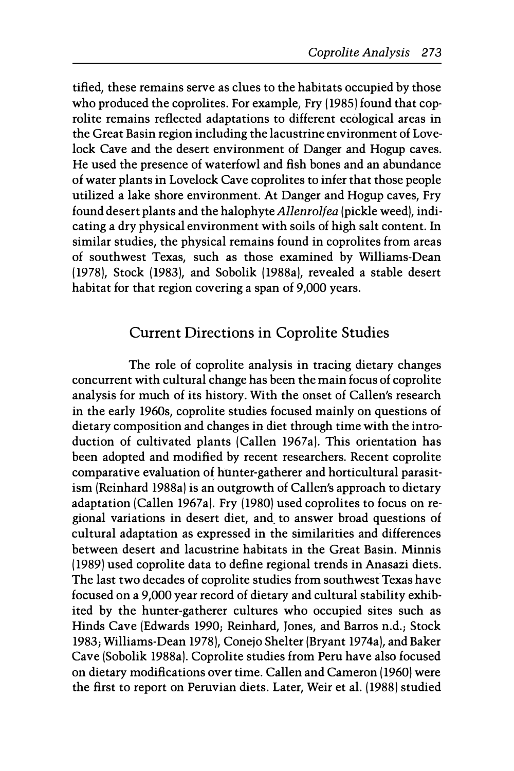tified, these remains serve as clues to the habitats occupied by those who produced the coprolites. For example, Fry (1985) found that coprolite remains reflected adaptations to different ecological areas in the Great Basin region including the lacustrine environment of Lovelock Cave and the desert environment of Danger and Hogup caves. He used the presence of waterfowl and fish bones and an abundance of water plants in Lovelock Cave coprolites to infer that those people utilized a lake shore environment. At Danger and Hogup caves, Fry found desert plants and the halophyte Allenrolfea (pickle weed), indicating a dry physical environment with soils of high salt content. In similar studies, the physical remains found in coprolites from areas of southwest Texas, such as those examined by Williams-Dean (1978), Stock (1983), and Sobolik (1988a), revealed a stable desert habitat for that region covering a span of 9,000 years.

# Current Directions in Coprolite Studies

The role of coprolite analysis in tracing dietary changes concurrent with cultural change has been the main focus of coprolite analysis for much of its history. With the onset of Callen's research in the early 1960s, coprolite studies focused mainly on questions of dietary composition and changes in diet through time with the introduction of cultivated plants (Callen 1967a). This orientation has been adopted and modified by recent researchers. Recent coprolite comparative evaluation of hunter-gatherer and horticultural parasitism (Reinhard 1988a) is an outgrowth of Callen's approach to dietary adaptation (Callen 1967a). Fry (1980) used coprolites to focus on regional variations in desert diet, and\_ to answer broad questions of cultural adaptation as expressed in the similarities and differences between desert and lacustrine habitats in the Great Basin. Minnis (1989) used coprolite data to define regional trends in Anasazi diets. The last two decades of coprolite studies from southwest Texas have focused on a 9,000 year record of dietary and cultural stability exhibited by the hunter-gatherer cultures who occupied sites such as Hinds Cave (Edwards 1990; Reinhard, Jones, and Barros n.d.; Stock 1983; Williams-Dean 1978), Conejo Shelter (Bryant 1974a), and Baker Cave (Sobolik 1988a). Coprolite studies from Peru have also focused on dietary modifications over time. Callen and Cameron (1960) were the first to report on Peruvian diets. Later, Weir et al. (1988) studied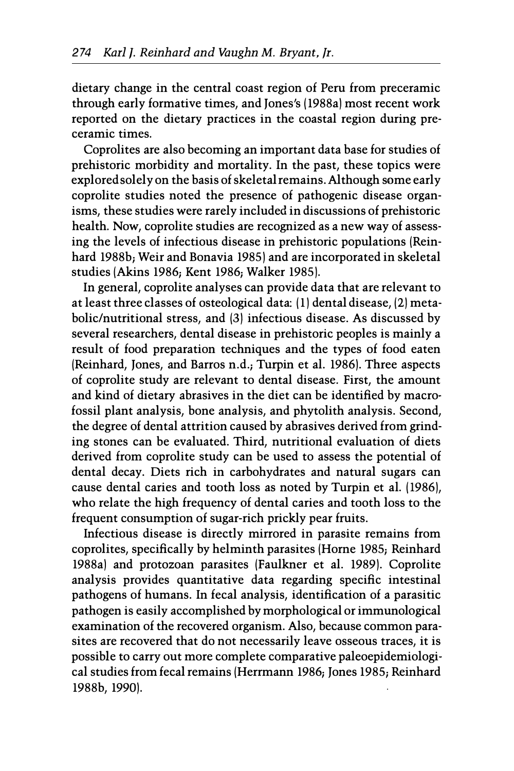dietary change in the central coast region of Peru from preceramic through early formative times, and Jones's (1988a) most recent work reported on the dietary practices in the coastal region during preceramic times.

Coprolites are also becoming an important data base for studies of prehistoric morbidity and mortality. In the past, these topics were explored solely on the basis of skeletal remains. Although some early coprolite studies noted the presence of pathogenic disease organisms, these studies were rarely included in discussions of prehistoric health. Now, coprolite studies are recognized as a new way of assessing the levels of infectious disease in prehistoric populations (Reinhard 1988b; Weir and Bonavia 1985) and are incorporated in skeletal studies (Akins 1986; Kent 1986; Walker 1985).

In general, coprolite analyses can provide data that are relevant to at least three classes of osteological data: (1) dental disease, (2) metabolic/nutritional stress, and (3) infectious disease. As discussed by several researchers, dental disease in prehistoric peoples is mainly a result of food preparation techniques and the types of food eaten (Reinhard, Jones, and Barros n.d.; Turpin et al. 1986). Three aspects of coprolite study are relevant to dental disease. First, the amount and kind of dietary abrasives in the diet can be identified by macrofossil plant analysis, bone analysis, and phytolith analysis. Second, the degree of dental attrition caused by abrasives derived from grinding stones can be evaluated. Third, nutritional evaluation of diets derived from coprolite study can be used to assess the potential of dental decay. Diets rich in carbohydrates and natural sugars can cause dental caries and tooth loss as noted by Turpin et al. (1986), who relate the high frequency of dental caries and tooth loss to the frequent consumption of sugar-rich prickly pear fruits.

Infectious disease is directly mirrored in parasite remains from coprolites, specifically by helminth parasites (Horne 1985; Reinhard 1988a) and protozoan parasites (Faulkner et al. 1989). Coprolite analysis provides quantitative data regarding specific intestinal pathogens of humans. In fecal analysis, identification of a parasitic pathogen is easily accomplished by morphological or immunological examination of the recovered organism. Also, because common parasites are recovered that do not necessarily leave osseous traces, it is possible to carry out more complete comparative paleoepidemiological studies from fecal remains (Herrmann 1986; Jones 1985; Reinhard 1988b, 1990).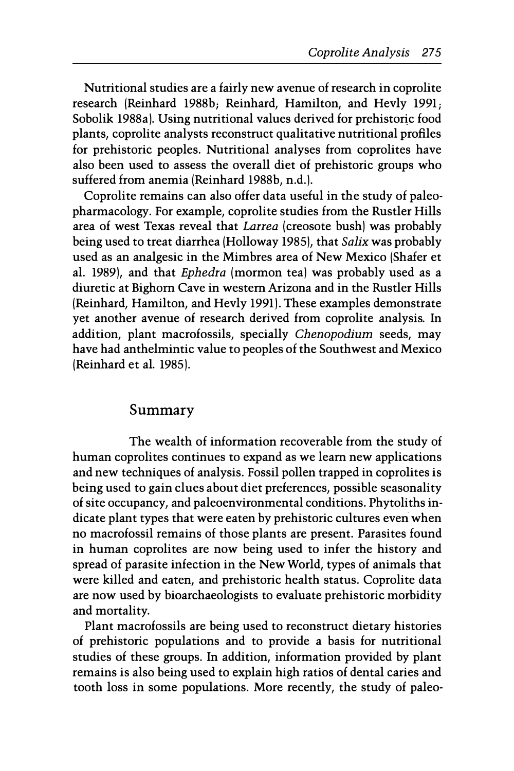Nutritional studies are a fairly new avenue of research in coprolite research (Reinhard 1988b; Reinhard, Hamilton, and Hevly 1991; Sobolik 1988a). Using nutritional values derived for prehistoric food plants, coprolite analysts reconstruct qualitative nutritional profiles for prehistoric peoples. Nutritional analyses from coprolites have also been used to assess the overall diet of prehistoric groups who suffered from anemia (Reinhard 1988b, n.d.).

Coprolite remains can also offer data useful in the study of paleopharmacology. For example, coprolite studies from the Rustler Hills area of west Texas reveal that Larrea (creosote bush) was probably being used to treat diarrhea (Holloway 1985), that Salix was probably used as an analgesic in the Mimbres area of New Mexico (Shafer et al. 1989), and that Ephedra (mormon tea) was probably used as a diuretic at Bighorn Cave in western Arizona and in the Rustler Hills (Reinhard, Hamilton, and Hevly 1991). These examples demonstrate yet another avenue of research derived from coprolite analysis. In addition, plant macrofossils, specially Chenopodium seeds, may have had anthelmintic value to peoples of the Southwest and Mexico (Reinhard et al. 1985).

## Summary

The wealth of information recoverable from the study of human coprolites continues to expand as we learn new applications and new techniques of analysis. Fossil pollen trapped in coprolites is being used to gain clues about diet preferences, possible seasonality of site occupancy, and paleoenvironmental conditions. Phytoliths indicate plant types that were eaten by prehistoric cultures even when no macrofossil remains of those plants are present. Parasites found in human coprolites are now being used to infer the history and spread of parasite infection in the New World, types of animals that were killed and eaten, and prehistoric health status. Coprolite data are now used by bioarchaeologists to evaluate prehistoric morbidity and mortality.

Plant macrofossils are being used to reconstruct dietary histories of prehistoric populations and to provide a basis for nutritional studies of these groups. In addition, information provided by plant remains is also being used to explain high ratios of dental caries and tooth loss in some populations. More recently, the study of paleo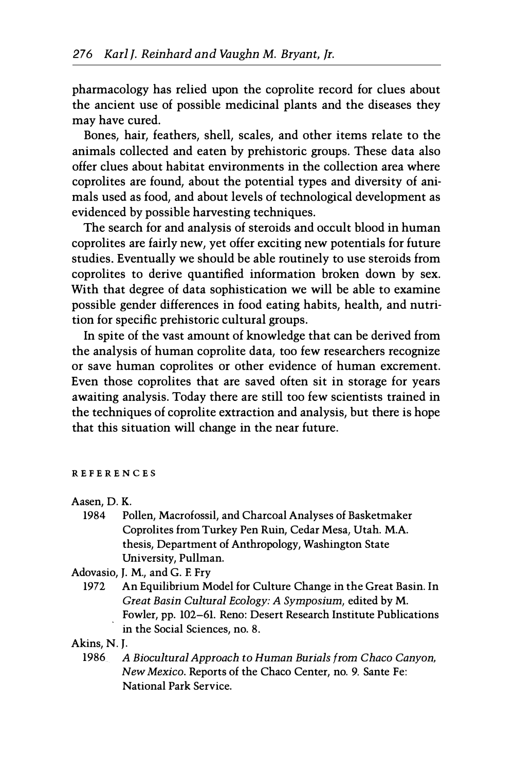pharmacology has relied upon the coprolite record for clues about the ancient use of possible medicinal plants and the diseases they may have cured.

Bones, hair, feathers, shell, scales, and other items relate to the animals collected and eaten by prehistoric groups. These data also offer clues about habitat environments in the collection area where coprolites are found, about the potential types and diversity of animals used as food, and about levels of technological development as evidenced by possible harvesting techniques.

The search for and analysis of steroids and occult blood in human coprolites are fairly new, yet offer exciting new potentials for future studies. Eventually we should be able routinely to use steroids from coprolites to derive quantified information broken down by sex. With that degree of data sophistication we will be able to examine possible gender differences in food eating habits, health, and nutrition for specific prehistoric cultural groups.

In spite of the vast amount of knowledge that can be derived from the analysis of human coprolite data, too few researchers recognize or save human coprolites or other evidence of human excrement. Even those coprolites that are saved often sit in storage for years awaiting analysis. Today there are still too few scientists trained in the techniques of coprolite extraction and analysis, but there is hope that this situation will change in the near future.

#### REFERENCES

Aasen, D. K.

| 1984 | Pollen, Macrofossil, and Charcoal Analyses of Basketmaker |
|------|-----------------------------------------------------------|
|      | Coprolites from Turkey Pen Ruin, Cedar Mesa, Utah, M.A.   |
|      | thesis. Department of Anthropology, Washington State      |
|      | University, Pullman.                                      |

Adovasio, J. M., and G. E Fry

1972 An Equilibrium Model for Culture Change in the Great Basin. In Great Basin Cultural Ecology: A Symposium, edited by M. Fowler, pp. 102-61. Reno: Desert Research Institute Publications in the Social Sciences, no. 8.

Akins, N. J.

1986 A Biocultural Approach to Human Burials from Chaco Canyon, New Mexico. Reports of the Chaco Center, no. 9. Sante Fe: National Park Service.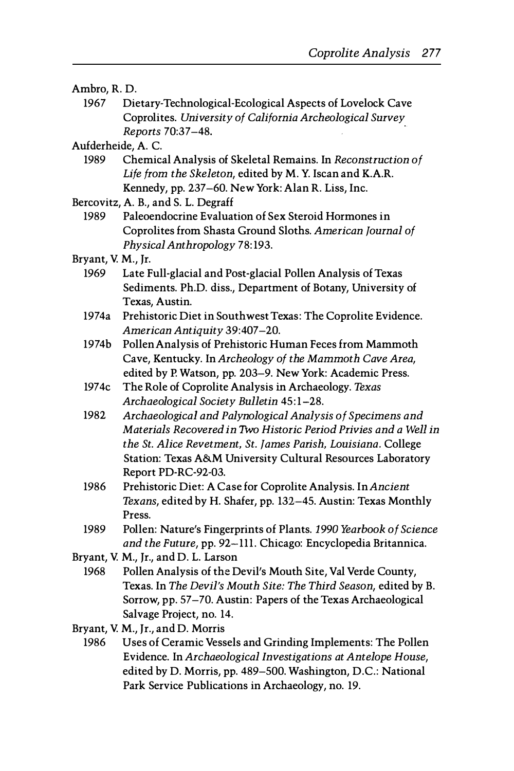#### Ambro, R. D.

1967 Dietary-Technological-Ecological Aspects of Lovelock Cave Coprolites. University of California Archeological Survey Reports 70:37-48.

Aufderheide, A. C.

- 1989 Chemical Analysis of Skeletal Remains. In Reconstruction of Life from the Skeleton, edited by M. Y. Iscan and K.A.R. Kennedy, pp. 237-60. New York: Alan R. Liss, Inc.
- Bercovitz, A. B., and S. L. Degraff

1989 Paleoendocrine Evaluation of Sex Steroid Hormones in Coprolites from Shasta Ground Sloths. American Journal of Physical Anthropology 78: 193.

- Bryant, V. M., Jr.
	- 1969 Late Full-glacial and Post-glacial Pollen Analysis of Texas Sediments. Ph.D. diss., Department of Botany, University of Texas, Austin.
	- 1974a Prehistoric Diet in Southwest Texas: The Coprolite Evidence. American Antiquity 39:407-20.
	- 1974b Pollen Analysis of Prehistoric Human Feces from Mammoth Cave, Kentucky. In Archeology of the Mammoth Cave Area, edited by P. Watson, pp. 203-9. New York: Academic Press.
	- 1974c The Role of Coprolite Analysis in Archaeology. Texas Archaeological Society Bulletin 45:1-28.
	- 1982 Archaeological and Palynological Analysis of Specimens and Materials Recovered in 1Wo Historic Period Privies and a Well in the St. Alice Revetment, St. James Parish, Louisiana. College Station: Texas A&M University Cultural Resources Laboratory Report PD-RC-92-03.
	- 1986 Prehistoric Diet: A Case for Coprolite Analysis. In Ancient Texans, edited by H. Shafer, pp. 132-45. Austin: Texas Monthly Press.
	- 1989 Pollen: Nature's Fingerprints of Plants. 1990 Yearbook of Science and the Future, pp. 92-111. Chicago: Encyclopedia Britannica.
- Bryant, V. M., Jr., and D. L. Larson
- 1968 Pollen Analysis of the Devil's Mouth Site, Val Verde County, Texas. In The Devil's Mouth Site: The Third Season, edited by B. Sorrow, pp. 57-70. Austin: Papers of the Texas Archaeological Salvage Project, no. 14.
- Bryant, V. M., Jr., and D. Morris
	- 1986 Uses of Ceramic Vessels and Grinding Implements: The Pollen Evidence. In Archaeological Investigations at Antelope House, edited by D. Morris, pp. 489-500. Washington, D.C.: National Park Service Publications in Archaeology, no. 19.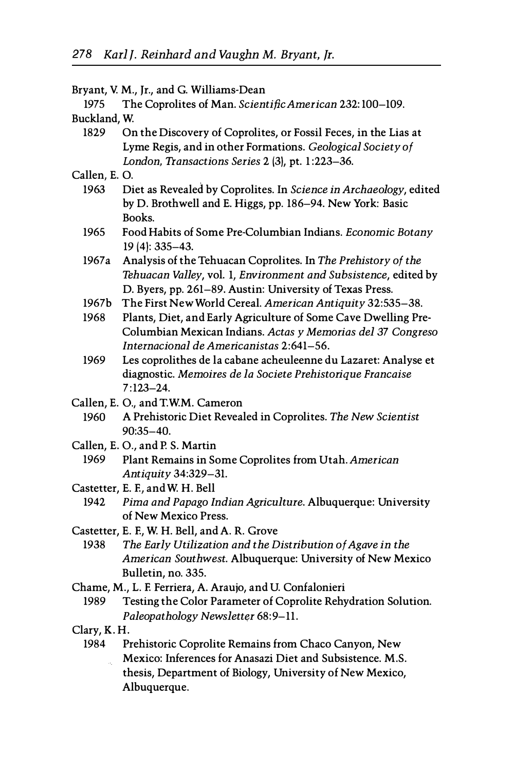|                                  | Bryant, V. M., Jr., and G. Williams-Dean                                                                                                 |  |
|----------------------------------|------------------------------------------------------------------------------------------------------------------------------------------|--|
| 1975                             | The Coprolites of Man. Scientific American 232:100-109.                                                                                  |  |
| Buckland, W.                     |                                                                                                                                          |  |
| 1829                             | On the Discovery of Coprolites, or Fossil Feces, in the Lias at                                                                          |  |
|                                  | Lyme Regis, and in other Formations. Geological Society of                                                                               |  |
|                                  | London, Transactions Series 2 (3), pt. 1:223-36.                                                                                         |  |
| Callen, E.O.                     |                                                                                                                                          |  |
| 1963                             | Diet as Revealed by Coprolites. In Science in Archaeology, edited<br>by D. Brothwell and E. Higgs, pp. 186-94. New York: Basic<br>Books. |  |
| 1965                             | Food Habits of Some Pre-Columbian Indians. Economic Botany                                                                               |  |
|                                  | $19(4): 335 - 43.$                                                                                                                       |  |
| 1967a                            | Analysis of the Tehuacan Coprolites. In The Prehistory of the                                                                            |  |
|                                  | Tehuacan Valley, vol. 1, Environment and Subsistence, edited by                                                                          |  |
|                                  | D. Byers, pp. 261-89. Austin: University of Texas Press.                                                                                 |  |
| 1967b                            | The First New World Cereal. American Antiquity 32:535-38.                                                                                |  |
| 1968                             | Plants, Diet, and Early Agriculture of Some Cave Dwelling Pre-                                                                           |  |
|                                  | Columbian Mexican Indians. Actas y Memorias del 37 Congreso                                                                              |  |
|                                  | Internacional de Americanistas 2:641-56.                                                                                                 |  |
| 1969                             | Les coprolithes de la cabane acheuleenne du Lazaret: Analyse et                                                                          |  |
|                                  | diagnostic. Memoires de la Societe Prehistorique Francaise                                                                               |  |
|                                  | $7:123 - 24.$                                                                                                                            |  |
|                                  | Callen, E. O., and T.W.M. Cameron                                                                                                        |  |
| 1960                             | A Prehistoric Diet Revealed in Coprolites. The New Scientist                                                                             |  |
|                                  | 90:35-40.                                                                                                                                |  |
| Callen, E. O., and P. S. Martin  |                                                                                                                                          |  |
| 1969                             | Plant Remains in Some Coprolites from Utah. American                                                                                     |  |
|                                  | Antiquity 34:329-31.                                                                                                                     |  |
| Castetter, E. F., and W. H. Bell |                                                                                                                                          |  |
| 1942                             | Pima and Papago Indian Agriculture. Albuquerque: University                                                                              |  |
|                                  | of New Mexico Press.                                                                                                                     |  |
|                                  | Castetter, E. F., W. H. Bell, and A. R. Grove                                                                                            |  |
| 1938                             | The Early Utilization and the Distribution of Agave in the                                                                               |  |
|                                  | American Southwest. Albuquerque: University of New Mexico                                                                                |  |
|                                  | Bulletin, no. 335.                                                                                                                       |  |
|                                  | Chame, M., L. F. Ferriera, A. Araujo, and U. Confalonieri                                                                                |  |
| 1989                             | Testing the Color Parameter of Coprolite Rehydration Solution.                                                                           |  |
|                                  | Paleopathology Newsletter 68:9-11.                                                                                                       |  |
| Clary, K.H.                      |                                                                                                                                          |  |
| 1984                             | Prehistoric Coprolite Remains from Chaco Canyon, New                                                                                     |  |
|                                  | Mexico: Inferences for Anasazi Diet and Subsistence. M.S.                                                                                |  |
|                                  | thesis, Department of Biology, University of New Mexico,                                                                                 |  |
|                                  | Albuquerque.                                                                                                                             |  |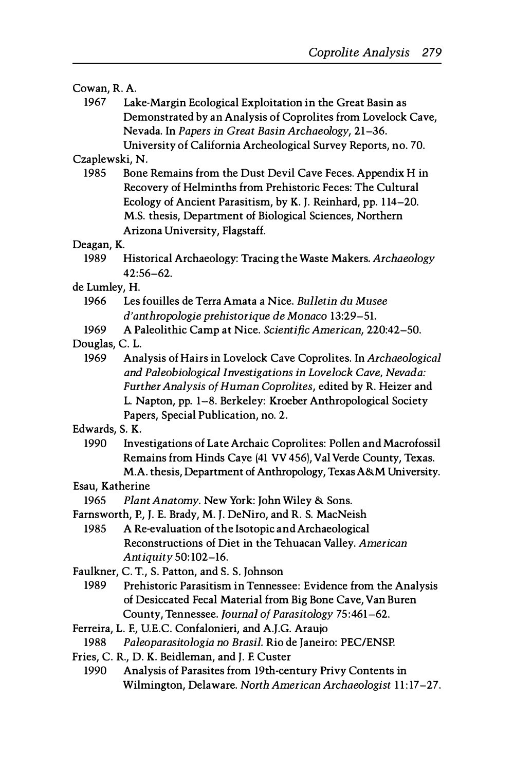#### Cowan, R. A.

1967 Lake-Margin Ecological Exploitation in the Great Basin as Demonstrated by an Analysis of Coprolites from Lovelock Cave, Nevada. In Papers in Great Basin Archaeology, 21-36. University of California Archeological Survey Reports, no. 70.

Czaplewski, N.

1985 Bone Remains from the Dust Devil Cave Feces. Appendix H in Recovery of Helminths from Prehistoric Feces: The Cultural Ecology of Ancient Parasitism, by K. J. Reinhard, pp. 1 14-20. M.S. thesis, Department of Biological Sciences, Northern Arizona University, Flagstaff.

Deagan, K.

1989 Historical Archaeology: Tracing the Waste Makers. Archaeology  $42:56-62.$ 

de Lumley, H.

- 1966 Les fouilles de Terra Amata a Nice. Bulletin du Musee d' anthropologie prehistorique de Monaco 13:29-51.
- 1969 A Paleolithic Camp at Nice. Scientific American, 220:42-50.

Douglas, C. L.

1969 Analysis of Hairs in Lovelock Cave Coprolites. In Archaeological and Paleobiological Investigations in Lovelock Cave, Nevada: Further Analysis of Human Coprolites, edited by R. Heizer and L. Napton, pp. 1-8. Berkeley: Kroeber Anthropological Society Papers, Special Publication, no. 2.

Edwards, S. K.

1990 Investigations of Late Archaic Coprolites: Pollen and Macrofossil Remains from Hinds Cave (41 VV 456), Val Verde County, Texas. M.A. thesis, Department of Anthropology, Texas A&M University.

#### Esau, Katherine

1965 Plant Anatomy. New York: John Wiley & Sons.

- Farnsworth, P., J. E. Brady, M. J. DeNiro, and R. S. MacNeish
	- 1985 A Re-evaluation of the Isotopic and Archaeological Reconstructions of Diet in the Tehuacan Valley. American Antiquity 50: 102-16.

Faulkner, C. T., S. Patton, and S. S. Johnson

- 1989 Prehistoric Parasitism in Tennessee: Evidence from the Analysis of Desiccated Fecal Material from Big Bone Cave, Van Buren County, Tennessee. Journal of Parasitology 75:461-62.
- Ferreira, L. E, U.E.C. Confalonieri, and A.J.G. Araujo
- 1988 Paleoparasitologia no Brasil. Rio de Janeiro: PEC/ENSP.
- Fries, C. R., D. K. Beidleman, and J. E Custer
- 1990 Analysis of Parasites from 19th-century Privy Contents in Wilmington, Delaware. North American Archaeologist 11: 17-27.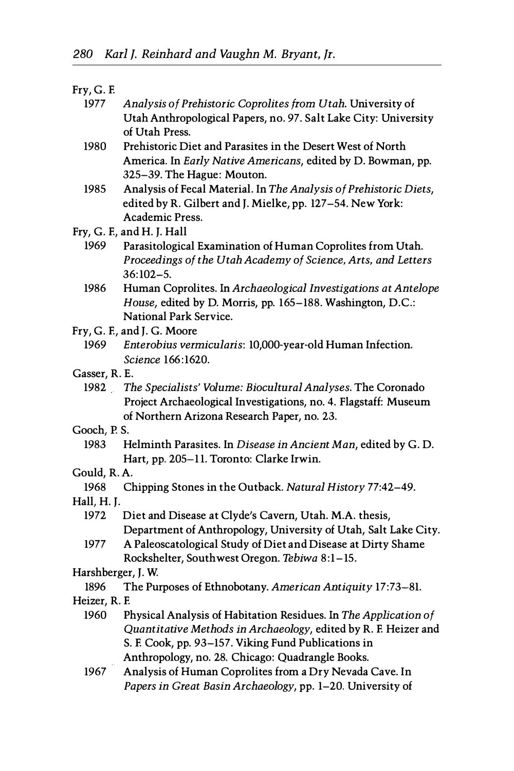#### Fry, G. E

- 1977 Analysis of Prehistoric Coprolites from Utah. University of Utah Anthropological Papers, no. 97. Salt Lake City: University of Utah Press.
- 1980 Prehistoric Diet and Parasites in the Desert West of North America. In Early Native Americans, edited by D. Bowman, pp. 325-39. The Hague: Mouton.
- 1985 Analysis of Fecal Material. In The Analysis of Prehistoric Diets, edited by R. Gilbert and J. Mielke, pp. 127-54. New York: Academic Press.
- Fry, G. E, and H. J. Hall
	- 1969 Parasitological Examination of Human Coprolites from Utah. Proceedings of the Utah Academy of Science, Arts, and Letters 36:102-5.
	- 1986 Human Coprolites. In Archaeological Investigations at Antelope House, edited by D. Morris, pp. 165-188. Washington, D.C.: National Park Service.
- Fry, G. E, and J. G. Moore
	- 1969 Enterobius vermicularis: 1O,000-year-old Human Infection. Science 166:1620.
- Gasser, R. E.
	- 1982 The Specialists' Volume: Biocultural Analyses. The Coronado Project Archaeological Investigations, no. 4. Flagstaff: Museum of Northern Arizona Research Paper, no. 23.
- Gooch, P. S.
	- 1983 Helminth Parasites. In Disease in Ancient Man, edited by G. D. Hart, pp. 205-11. Toronto: Clarke Irwin.
- Gould, R. A.
	- 1968 Chipping Stones in the Outback. Natural History 77:42-49.
- Hall, H. J.
	- 1972 Diet and Disease at Clyde's Cavern, Utah. M.A. thesis, Department of Anthropology, University of Utah, Salt Lake City.
	- 1977 A Paleoscatological Study of Diet and Disease at Dirty Shame Rockshelter, Southwest Oregon. Tebiwa 8:1-15.
- Harshberger, J. W
	- 1896 The Purposes of Ethnobotany. American Antiquity 17:73-81.
- Heizer, R. E
	- 1960 Physical Analysis of Habitation Residues. In The Application of Quantitative Methods in Archaeology, edited by R. E Heizer and S. E Cook, pp. 93-157. Viking Fund Publications in Anthropology, no. 28. Chicago: Quadrangle Books.
	- 1967 Analysis of Human Coprolites from a Dry Nevada Cave. In Papers in Great Basin Archaeology, pp. 1-20. University of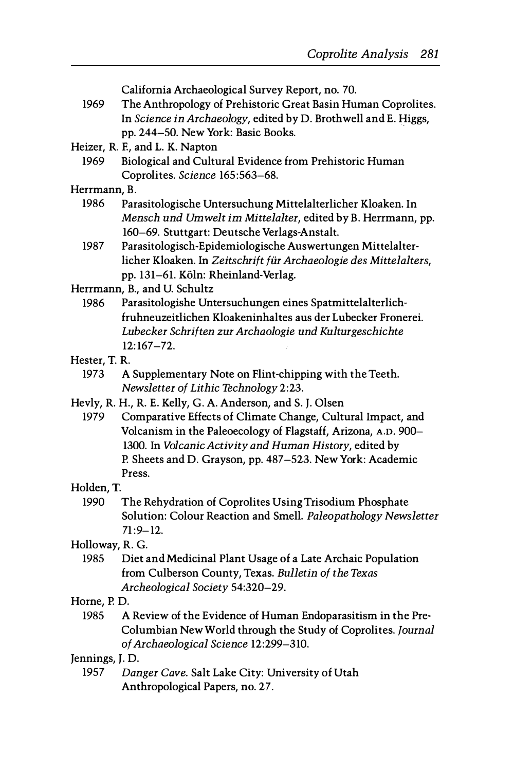California Archaeological Survey Report, no. 70.

- 1969 The Anthropology of Prehistoric Great Basin Human Coprolites. In Science in Archaeology, edited by D. Brothwell and E. Higgs, pp. 244-50. New York: Basic Books.
- Heizer, R. F., and L. K. Napton
	- 1969 Biological and Cultural Evidence from Prehistoric Human Coprolites. Science 165:563-68.

#### Herrmann, B.

- 1986 Parasitologische Untersuchung Mittelalterlicher Kloaken. In Mensch und Umwelt im Mittelalter, edited by B. Herrmann, pp. 160-69. Stuttgart: Deutsche Verlags-Anstalt.
- 1987 Parasitologisch-Epidemiologische Auswertungen Mittelalterlicher Kloaken. In Zeitschrift für Archaeologie des Mittelalters, pp. 131-61. Köln: Rheinland-Verlag.
- Herrmann, B., and U. Schultz
	- 1986 Parasitologishe Untersuchungen eines Spatmittelalterlichfruhneuzeitlichen Kloakeninhaltes aus der Lubecker Fronerei. Lubecker Schriften zur Archaologie und Kulturgeschichte 12:167-72.
- Hester, T. R.
	- 1973 A Supplementary Note on Flint-chipping with the Teeth. Newsletter of Lithic Technology 2:23.
- Hevly, R. H., R. E. Kelly, G. A. Anderson, and S. J. Olsen
	- 1979 Comparative Effects of Climate Change, Cultural Impact, and Volcanism in the Paleoecology of Flagstaff, Arizona, A.D. 900- 1300. In Volcanic Activity and Human History, edited by P. Sheets and D. Grayson, pp. 487-523. New York: Academic Press.

#### Holden, T.

- 1990 The Rehydration of Coprolites Using Trisodium Phosphate Solution: Colour Reaction and Smell. Paleopathology Newsletter  $71:9 - 12.$
- Holloway, R. G.
	- 1985 Diet and Medicinal Plant Usage of a Late Archaic Population from Culberson County, Texas. Bulletin of the Texas Archeological Society 54:320-29.

#### Horne, P. D.

1985 A Review of the Evidence of Human Endoparasitism in the Pre-Columbian New World through the Study of Coprolites. Journal of Archaeological Science 12:299-310.

#### Jennings, J. D.

1957 Danger Cave. Salt Lake City: University of Utah Anthropological Papers, no. 27.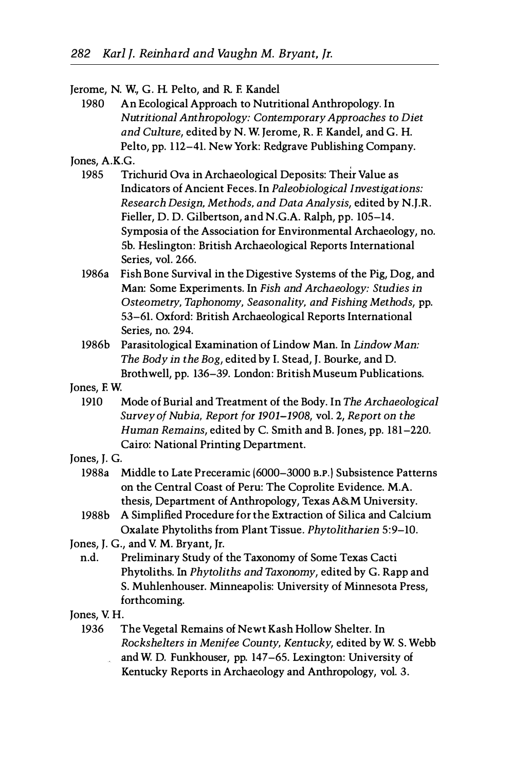Jerome, N. w., G. H. Pelto, and R. E Kandel

1980 An Ecological Approach to Nutritional Anthropology. In Nutritional Anthropology: Contemporary Approaches to Diet and Culture, edited by N. W. Jerome, R. E Kandel, and G. H. Pelto, pp. 112-41. New York: Redgrave Publishing Company.

Jones, A.K.G.

- 1985 Trichurid Ova in Archaeological Deposits: Their Value as Indicators of Ancient Feces. In Paleobiological Investigations: Research Design, Methods, and Data Analysis, edited by N.J.R. Fieller, D. D. Gilbertson, and N.G.A. Ralph, pp. 105-14. Symposia of the Association for Environmental Archaeology, no. Sb. Heslington: British Archaeological Reports International Series, vol. 266.
- 1986a Fish Bone Survival in the Digestive Systems of the Pig, Dog, and Man: Some Experiments. In Fish and Archaeology: Studies in Osteometry, Taphonomy, Seasonality, and Fishing Methods, pp. 53-61. Oxford: British Archaeological Reports International Series, no. 294.
- 1986b Parasitological Examination of Lindow Man. In Lindow Man: The Body in the Bog, edited by 1. Stead, J. Bourke, and D. Brothwell, pp. 136-39. London: British Museum Publications.
- Jones, EW.
	- 1910 Mode of Burial and Treatment of the Body. In The Archaeological Survey of Nubia, Report for 1901-1908, vol. 2, Report on the Human Remains, edited by C. Smith and B. Jones, pp. 181-220. Cairo: National Printing Department.
- Jones, J. G.
	- 1988a Middle to Late Preceramic (6000-3000 B.P.) Subsistence Patterns on the Central Coast of Peru: The Coprolite Evidence. M.A. thesis, Department of Anthropology, Texas A&.M University.
	- 1988b A Simplified Procedure for the Extraction of Silica and Calcium Oxalate Phytoliths from Plant Tissue. Phytolitharien 5:9-10.
- Jones, J. G., and V. M. Bryant, Jr.
- n.d. Preliminary Study of the Taxonomy of Some Texas Cacti Phytoliths. In Phytoliths and Taxonomy, edited by G. Rapp and S. Muhlenhouser. Minneapolis: University of Minnesota Press, forthcoming.

Jones, V. H.

- 1936 The Vegetal Remains of Newt Kash Hollow Shelter. In Rockshelters in Menifee County, Kentucky, edited by W. S. Webb and W. D. Funkhouser, pp. 147-65. Lexington: University of i<br>An
	- Kentucky Reports in Archaeology and Anthropology, vol. 3.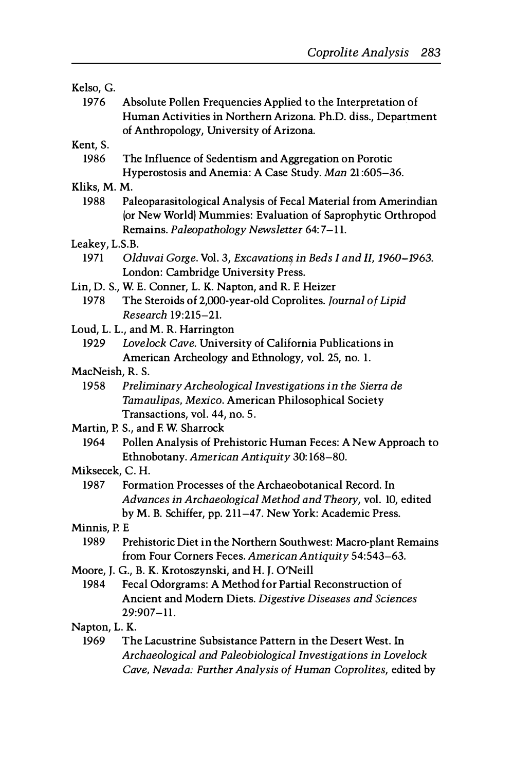#### Kelso, G.

1976 Absolute Pollen Frequencies Applied to the Interpretation of Human Activities in Northern Arizona. Ph.D. diss., Department of Anthropology, University of Arizona.

#### Kent, S.

1986 The Influence of Sedentism and Aggregation on Porotic Hyperostosis and Anemia: A Case Study. Man 21 :605-36.

#### Kliks, M. M.

- 1988 Paleoparasitological Analysis of Fecal Material from Amerindian (or New World) Mummies: Evaluation of Saprophytic Orthropod Remains. Paleopathology Newsletter 64: 7-1 1.
- Leakey, L.S.B.
	- 1971 Olduvai Gorge. Vol. 3, Excavations in Beds I and II, 1960-1963. London: Cambridge University Press.
- Lin, D. S., W. E. Conner, L. K. Napton, and R. E Heizer
- 1978 The Steroids of 2,OOO-year-old Coprolites. Journal of Lipid Research 19:215-21.
- Loud, L. L., and M. R. Harrington
	- 1929 Lovelock Cave. University of California Publications in American Archeology and Ethnology, vol. 25, no. 1.
- MacNeish, R. S.
	- 1958 Preliminary Archeological Investigations in the Sierra de Tamaulipas, Mexico. American Philosophical Society Transactions, vol. 44, no. 5.
- Martin, P. S., and E W. Sharrock
	- 1964 Pollen Analysis of Prehistoric Human Feces: A New Approach to Ethnobotany. American Antiquity 30: 168-80.

#### Miksecek, C. H.

- 1987 Formation Processes of the Archaeobotanical Record. In Advances in Archaeological Method and Theory, vol. 10, edited by M. B. Schiffer, pp. 211-47. New York: Academic Press.
- Minnis, P. E
	- 1989 Prehistoric Diet in the Northern Southwest: Macro-plant Remains from Four Corners Feces. American Antiquity 54:543-63.
- Moore, J. G., B. K. Krotoszynski, and H. J. O'Neill
	- 1984 Fecal Odorgrams: A Method for Partial Reconstruction of Ancient and Modern Diets. Digestive Diseases and Sciences 29:907-11.

#### Napton, L. K.

1969 The Lacustrine Subsistance Pattern in the Desert West. In Archaeological and Paleobiological Investigations in Lovelock Cave, Nevada: Further Analysis of Human Coprolites, edited by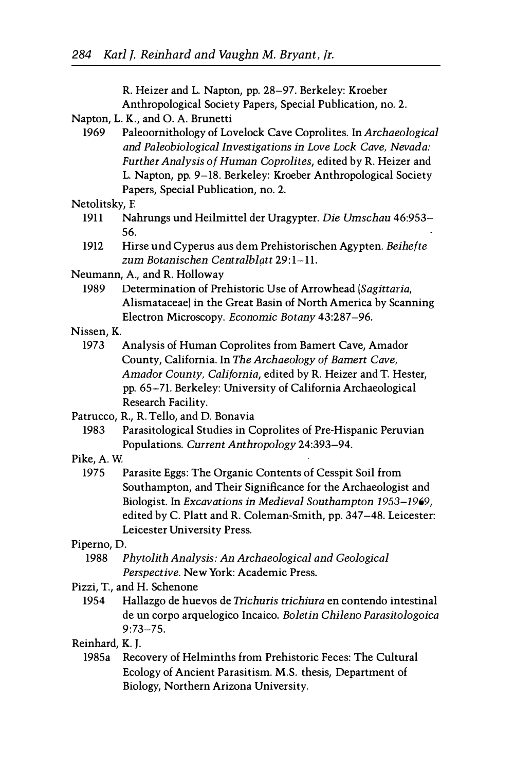R. Heizer and L. Napton, pp. 28-97. Berkeley: Kroeber Anthropological Society Papers, Special Publication, no. 2.

- Napton, L. K., and O. A. Brunetti
	- 1969 Paleoornithology of Lovelock Cave Coprolites. In Archaeological and Paleobiological Investigations in Love Lock Cave, Nevada: Further Analysis of Human Coprolites, edited by R. Heizer and L. Napton, pp. 9-18. Berkeley: Kroeber Anthropological Society Papers, Special Publication, no. 2.

#### Netolitsky, E

- 1911 Nahrungs und Heilmittel der Uragypter. Die Umschau 46:953- 56.
- 1912 Hirse und Cyperus aus dem Prehistorischen Agypten. Beihefte zum Botanischen Centralblatt 29:1-11.
- Neumann, A, and R. Holloway
	- 1989 Determination of Prehistoric Use of Arrowhead (Sagittaria, Alismataceae) in the Great Basin of North America by Scanning Electron Microscopy. Economic Botany 43:287-96.
- Nissen, K.
	- 1973 Analysis of Human Coprolites from Bamert Cave, Amador County, California. In The Archaeology of Bamert Cave, Amador County, California, edited by R. Heizer and T. Hester, pp. 65-71. Berkeley: University of California Archaeological Research Facility.
- Patrucco, R., R. Tello, and D. Bonavia
	- 1983 Parasitological Studies in Coprolites of Pre-Hispanic Peruvian Populations. Current Anthropology 24:393-94.
- Pike, A.W.
	- 1975 Parasite Eggs: The Organic Contents of Cesspit Soil from Southampton, and Their Significance for the Archaeologist and Biologist. In Excavations in Medieval Southampton 1953-1969, edited by C. Platt and R. Coleman-Smith, pp. 347-48. Leicester: Leicester University Press.

#### Piperno, D.

- 1988 Phytolith Analysis: An Archaeological and Geological Perspective. New York: Academic Press.
- Pizzi, T., and H. Schenone
	- 1954 Hallazgo de huevos de Trichuris trichiura en contendo intestinal de un corpo arquelogico Incaico. Boletin Chileno Parasitologoica 9:73-75.

## Reinhard, K. J.

1985a Recovery of Helminths from Prehistoric Feces: The Cultural Ecology of Ancient Parasitism. M.S. thesis, Department of Biology, Northern Arizona University.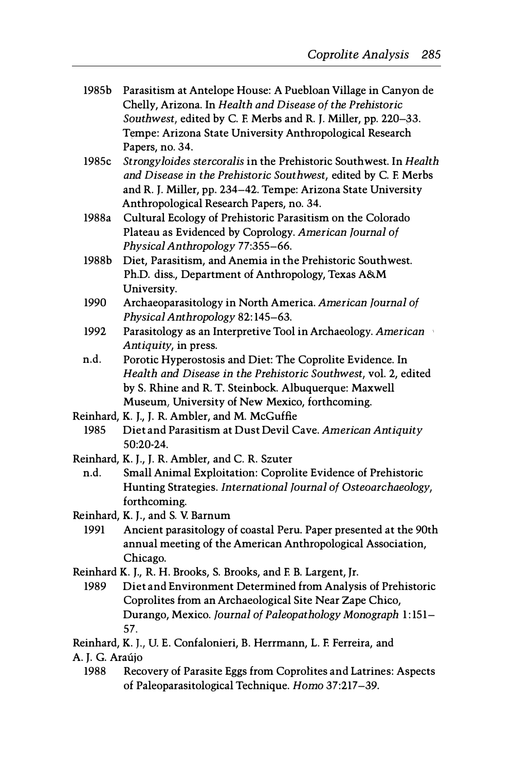- 1985b Parasitism at Antelope House: A Puebloan Village in Canyon de Chelly, Arizona. In Health and Disease of the Prehistoric Southwest, edited by C. F. Merbs and R. J. Miller, pp. 220-33. Tempe: Arizona State University Anthropological Research Papers, no. 34.
- 1985c Strongyloides stercoralis in the Prehistoric Southwest. In Health and Disease in the Prehistoric Southwest, edited by C. F. Merbs and R. J. Miller, pp. 234-42. Tempe: Arizona State University Anthropological Research Papers, no. 34.
- 1988a Cultural Ecology of Prehistoric Parasitism on the Colorado Plateau as Evidenced by Coprology. American Journal of Physical Anthropology 77:355-66.
- 1988b Diet, Parasitism, and Anemia in the Prehistoric Southwest. Ph.D. diss., Department of Anthropology, Texas A&M University.
- 1990 Archaeoparasitology in North America. American Journal of Physical Anthropology 82: 145-63.
- 1992 Parasitology as an Interpretive Tool in Archaeology. American Antiquity, in press.
- n.d. Porotic Hyperostosis and Diet: The Coprolite Evidence. In Health and Disease in the Prehistoric Southwest, vol. 2, edited by S. Rhine and R. T. Steinbock. Albuquerque: Maxwell Museum, University of New Mexico, forthcoming.
- Reinhard, K. J., J. R. Ambler, and M. McGuffie
- 1985 Diet and Parasitism at Dust Devil Cave. American Antiquity 50:20-24.
- Reinhard, K. J., J. R. Ambler, and C. R. Szuter
	- n.d. Small Animal Exploitation: Coprolite Evidence of Prehistoric Hunting Strategies. International Journal of Osteoarchaeology, forthcoming.
- Reinhard, K. J., and S. V. Barnum
	- 1991 Ancient parasitology of coastal Peru. Paper presented at the 90th annual meeting of the American Anthropological Association, Chicago.
- Reinhard K. J., R. H. Brooks, S. Brooks, and F. B. Largent, Jr.
- 1989 Diet and Environment Determined from Analysis of Prehistoric Coprolites from an Archaeological Site Near Zape Chico, Durango, Mexico. Journal of Paleopathology Monograph 1:151- 57.
- Reinhard, K. J., U. E. Confalonieri, B. Herrmann, L. F. Ferreira, and
- A. J. G. Araújo
	- 1988 Recovery of Parasite Eggs from Coprolites and Latrines: Aspects of Paleoparasitological Technique. Homo 37:217-39.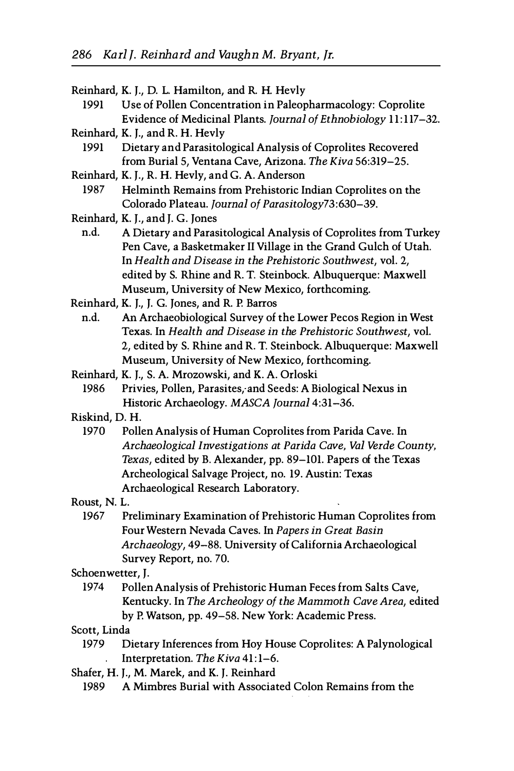- Reinhard, K. J., D. L. Hamilton, and R. H. Hevly
	- 1991 Use of Pollen Concentration in Paleopharmacology: Coprolite Evidence of Medicinal Plants. Journal of Ethnobiology 11:117-32.
- Reinhard, K. J., and R. H. Hevly
	- 1991 Dietary and Parasitological Analysis of Coprolites Recovered from Burial 5, Ventana Cave, Arizona. The Kiva 56:319-25.
- Reinhard, K. J., R. H. Hevly, and G. A. Anderson
	- 1987 Helminth Remains from Prehistoric Indian Coprolites on the Colorado Plateau. Journal of Parasitology73:630-39.
- Reinhard, K. J., and J. G. Jones
	- n.d. A Dietary and Parasitological Analysis of Coprolites from Turkey Pen Cave, a Basketmaker II Village in the Grand Gulch of Utah. In Health and Disease in the Prehistoric Southwest, vol. 2, edited by S. Rhine and R. T. Steinbock. Albuquerque: Maxwell Museum, University of New Mexico, forthcoming.
- Reinhard, K. J., J. G. Jones, and R. P. Barros
- n.d. An Archaeobiological Survey of the Lower Pecos Region in West Texas. In Health and Disease in the Prehistoric Southwest, vol. 2, edited by S. Rhine and R. T. Steinbock. Albuquerque: Maxwell Museum, University of New Mexico, forthcoming.
- Reinhard, K. J., S. A. Mrozowski, and K. A. Orloski
	- 1986 Privies, Pollen, Parasites, and Seeds: A Biological Nexus in Historic Archaeology. MASCA Journal 4:31-36.
- Riskind, D. H.
	- 1970 Pollen Analysis of Human Coprolites from Parida Cave. In Archaeological Investigations at Parida Cave, Val Verde County, Texas, edited by B. Alexander, pp. 89-101. Papers of the Texas Archeological Salvage Project, no. 19. Austin: Texas Archaeological Research Laboratory.
- Roust, N. L.
	- 1967 Preliminary Examination of Prehistoric Human Coprolites from Four Western Nevada Caves. In Papers in Great Basin Archaeology, 49-88. University of California Archaeological Survey Report, no. 70.
- Schoenwetter, J.
	- 1974 Pollen Analysis of Prehistoric Human Feces from Salts Cave, Kentucky. In The Archeology of the Mammoth Cave Area, edited by P. Watson, pp. 49-58. New York: Academic Press.
- Scott, Linda
	- 1979 Dietary Inferences from Hoy House Coprolites: A Palynological Interpretation. The Kiva 41:1-6.  $\mathcal{L}^{(1)}$
- Shafer, H. J., M. Marek, and K. J. Reinhard
	- 1989 A Mimbres Burial with Associated Colon Remains from the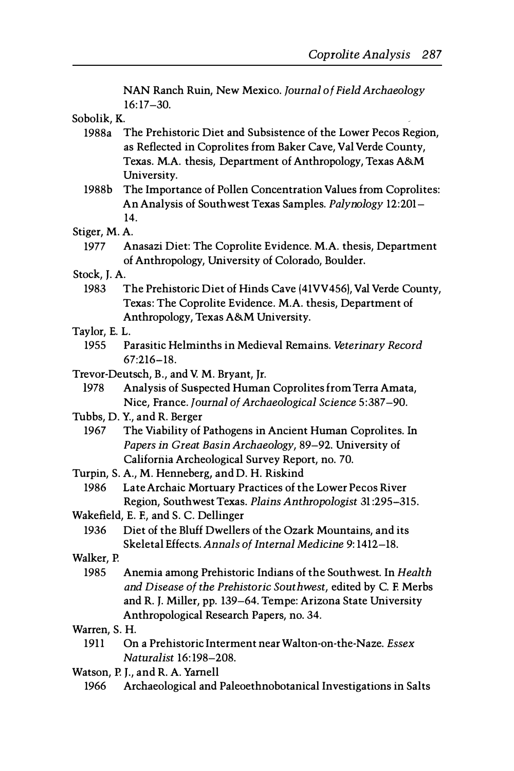NAN Ranch Ruin, New Mexico. Journal of Field Archaeology 16:17-30.

Sobolik, K.

- 1988a The Prehistoric Diet and Subsistence of the Lower Pecos Region, as Reflected in Coprolites from Baker Cave, Val Verde County, Texas. M.A thesis, Department of Anthropology, Texas A&M University.
- 1988b The Importance of Pollen Concentration Values from Coprolites: An Analysis of Southwest Texas Samples. Palynology 12:201- 14.
- Stiger, M. A
	- 1977 Anasazi Diet: The Coprolite Evidence. M.A thesis, Department of Anthropology, University of Colorado, Boulder.
- Stock, J. A
	- 1983 The Prehistoric Diet of Hinds Cave (41 VV456), Val Verde County, Texas: The Coprolite Evidence. M.A. thesis, Department of Anthropology, Texas A&M University.
- Taylor, E. L.
	- 1955 Parasitic Helminths in Medieval Remains. Veterinary Record 67:216-18.
- Trevor-Deutsch, B., and V. M. Bryant, Jr.
	- 1978 Analysis of Suspected Human Coprolites from Terra Amata, Nice, France. Journal of Archaeological Science 5:387-90.
- Tubbs, D. Y., and R. Berger
	- 1967 The Viability of Pathogens in Ancient Human Coprolites. In Papers in Great Basin Archaeology, 89-92. University of California Archeological Survey Report, no. 70.
- Turpin, S. A, M. Henneberg, and D. H. Riskind
	- 1986 Late Archaic Mortuary Practices of the Lower Pecos River Region, Southwest Texas. Plains Anthropologist 31 :295-315.
- Wakefield, E. E, and S. C. Dellinger
	- 1936 Diet of the Bluff Dwellers of the Ozark Mountains, and its Skeletal Effects. Annals of Internal Medicine 9: 1412-18.
- Walker, P.
- 1985 Anemia among Prehistoric Indians of the Southwest. In Health and Disease of the Prehistoric Southwest, edited by C. E Merbs and R. J. Miller, pp. 139-64. Tempe: Arizona State University Anthropological Research Papers, no. 34.
- Warren, S. H.
	- 1911 On a Prehistoric Interment near Walton-on-the-Naze. Essex Naturalist 16: 198-208.
- Watson, P.J., and R.A. Yarnell
	- 1966 Archaeological and Paleoethnobotanical Investigations in Salts